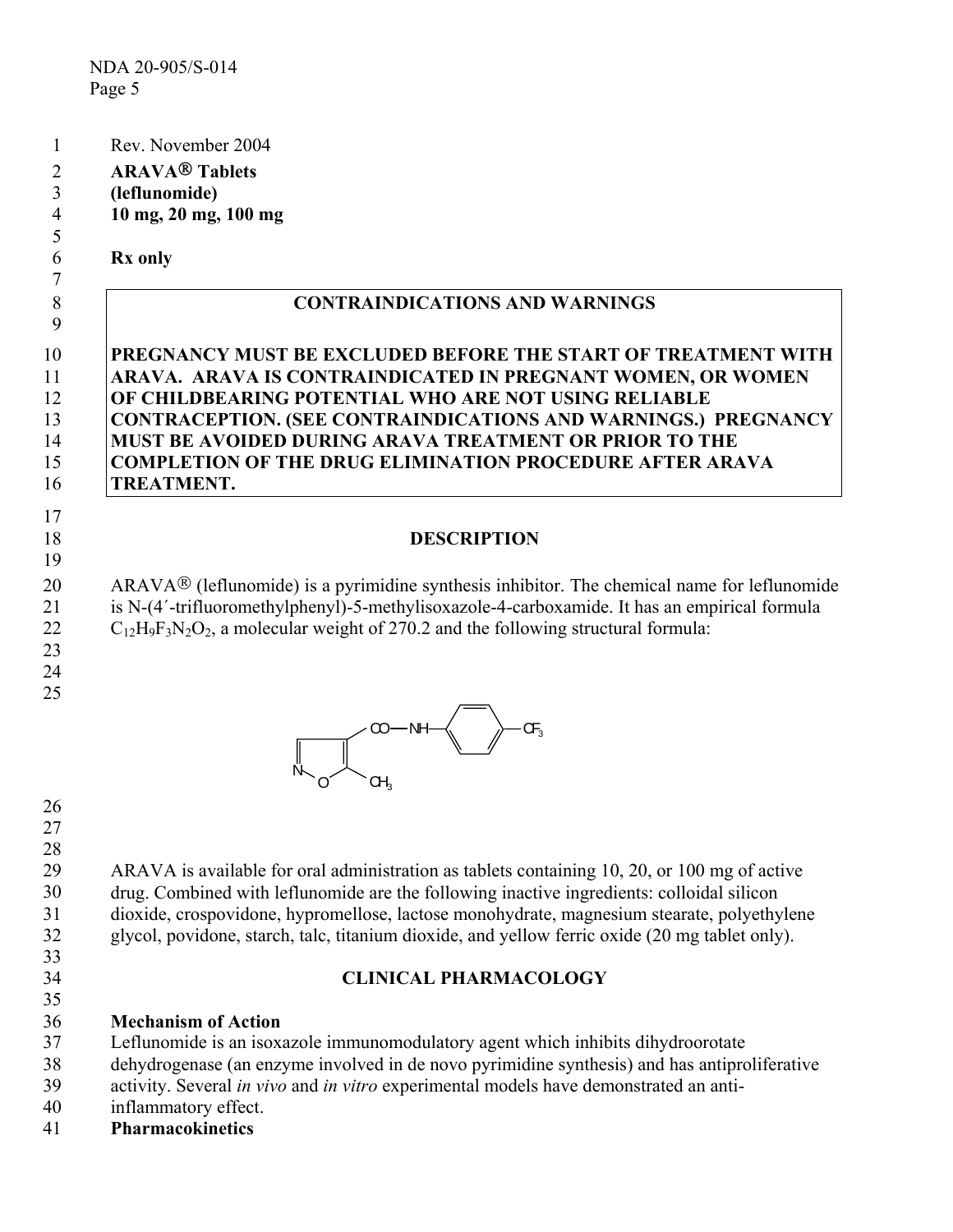- 1 Rev. November 2004
- 2 **ARAVA Tablets**
- 3 **(leflunomide)**
- 4 **10 mg, 20 mg, 100 mg**

### **Rx only**

5 6 7

9

# 8 **CONTRAINDICATIONS AND WARNINGS**

#### **PREGNANCY MUST BE EXCLUDED BEFORE THE START OF TREATMENT WITH ARAVA. ARAVA IS CONTRAINDICATED IN PREGNANT WOMEN, OR WOMEN OF CHILDBEARING POTENTIAL WHO ARE NOT USING RELIABLE CONTRACEPTION. (SEE CONTRAINDICATIONS AND WARNINGS.) PREGNANCY MUST BE AVOIDED DURING ARAVA TREATMENT OR PRIOR TO THE COMPLETION OF THE DRUG ELIMINATION PROCEDURE AFTER ARAVA TREATMENT.**  10 11 12 13 14 15 16

### **DESCRIPTION**

20 21 22 ARAVA $\mathcal{B}$  (leflunomide) is a pyrimidine synthesis inhibitor. The chemical name for leflunomide is N-(4´-trifluoromethylphenyl)-5-methylisoxazole-4-carboxamide. It has an empirical formula  $C_{12}H_9F_3N_2O_2$ , a molecular weight of 270.2 and the following structural formula:

23 24

17 18 19

25



26

27 28

33 34 35

29 30 31 32 ARAVA is available for oral administration as tablets containing 10, 20, or 100 mg of active drug. Combined with leflunomide are the following inactive ingredients: colloidal silicon dioxide, crospovidone, hypromellose, lactose monohydrate, magnesium stearate, polyethylene glycol, povidone, starch, talc, titanium dioxide, and yellow ferric oxide (20 mg tablet only).

## **CLINICAL PHARMACOLOGY**

- 36 **Mechanism of Action**
- 37 Leflunomide is an isoxazole immunomodulatory agent which inhibits dihydroorotate
- 38 dehydrogenase (an enzyme involved in de novo pyrimidine synthesis) and has antiproliferative
- 39 activity. Several *in vivo* and *in vitro* experimental models have demonstrated an anti-
- 40 inflammatory effect.
- 41 **Pharmacokinetics**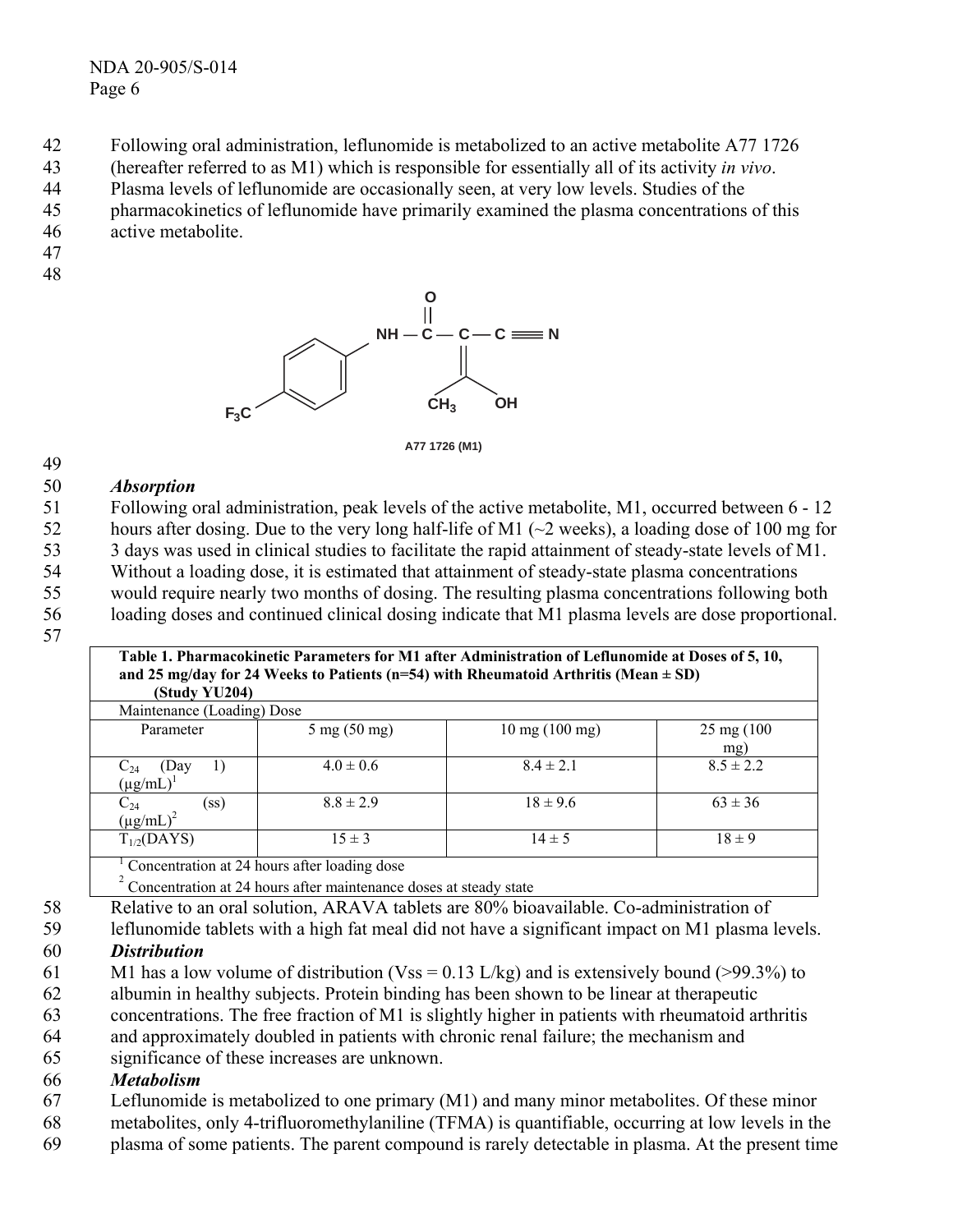NDA 20-905/S-014 Page 6

- 42 Following oral administration, leflunomide is metabolized to an active metabolite A77 1726
- 43 (hereafter referred to as M1) which is responsible for essentially all of its activity *in vivo*.
- 44 Plasma levels of leflunomide are occasionally seen, at very low levels. Studies of the
- 45 pharmacokinetics of leflunomide have primarily examined the plasma concentrations of this
- 46 active metabolite.
- 47
- 48

49



**A77 1726 (M1)**

#### 50 *Absorption*

51 52 53 54 55 56 57 Following oral administration, peak levels of the active metabolite, M1, occurred between 6 - 12 hours after dosing. Due to the very long half-life of M1 (~2 weeks), a loading dose of 100 mg for 3 days was used in clinical studies to facilitate the rapid attainment of steady-state levels of M1. Without a loading dose, it is estimated that attainment of steady-state plasma concentrations would require nearly two months of dosing. The resulting plasma concentrations following both loading doses and continued clinical dosing indicate that M1 plasma levels are dose proportional. **Table 1. Pharmacokinetic Parameters for M1 after Administration of Leflunomide at Doses of 5, 10,** 

| and 25 mg/day for 24 Weeks to Patients (n=54) with Rheumatoid Arthritis (Mean $\pm$ SD)<br>(Study YU204) |                                              |                                  |                             |  |  |
|----------------------------------------------------------------------------------------------------------|----------------------------------------------|----------------------------------|-----------------------------|--|--|
| Maintenance (Loading) Dose                                                                               |                                              |                                  |                             |  |  |
| Parameter                                                                                                | $5 \text{ mg} (50 \text{ mg})$               | $10 \text{ mg} (100 \text{ mg})$ | $25 \text{ mg} (100$<br>mg) |  |  |
| (Day<br>$C_{24}$ (D<br>(µg/mL)<br>$\perp$                                                                | $4.0 \pm 0.6$                                | $8.4 \pm 2.1$                    | $8.5 \pm 2.2$               |  |  |
| $C_{24}$<br>(µg/mL) <sup>2</sup><br>(ss)                                                                 | $8.8 \pm 2.9$                                | $18 \pm 9.6$                     | $63 \pm 36$                 |  |  |
| $T_{1/2}(DAYS)$                                                                                          | $15 \pm 3$                                   | $14 \pm 5$                       | $18 \pm 9$                  |  |  |
|                                                                                                          | Concentration at 24 hours after loading dose |                                  |                             |  |  |

 $\int_{2}^{1}$  Concentration at 24 hours after loading dose<br>  $\int_{2}^{2}$  Concentration at 24 hours after maintenance doses at steady state

- 58 Relative to an oral solution, ARAVA tablets are 80% bioavailable. Co-administration of
- 59 leflunomide tablets with a high fat meal did not have a significant impact on M1 plasma levels.

#### 60 *Distribution*

- 61 M1 has a low volume of distribution (Vss = 0.13 L/kg) and is extensively bound (>99.3%) to
- 62 albumin in healthy subjects. Protein binding has been shown to be linear at therapeutic
- 63 concentrations. The free fraction of M1 is slightly higher in patients with rheumatoid arthritis
- 64 and approximately doubled in patients with chronic renal failure; the mechanism and
- 65 significance of these increases are unknown.

#### 66 *Metabolism*

- 67 Leflunomide is metabolized to one primary (M1) and many minor metabolites. Of these minor
- 68 metabolites, only 4-trifluoromethylaniline (TFMA) is quantifiable, occurring at low levels in the
- 69 plasma of some patients. The parent compound is rarely detectable in plasma. At the present time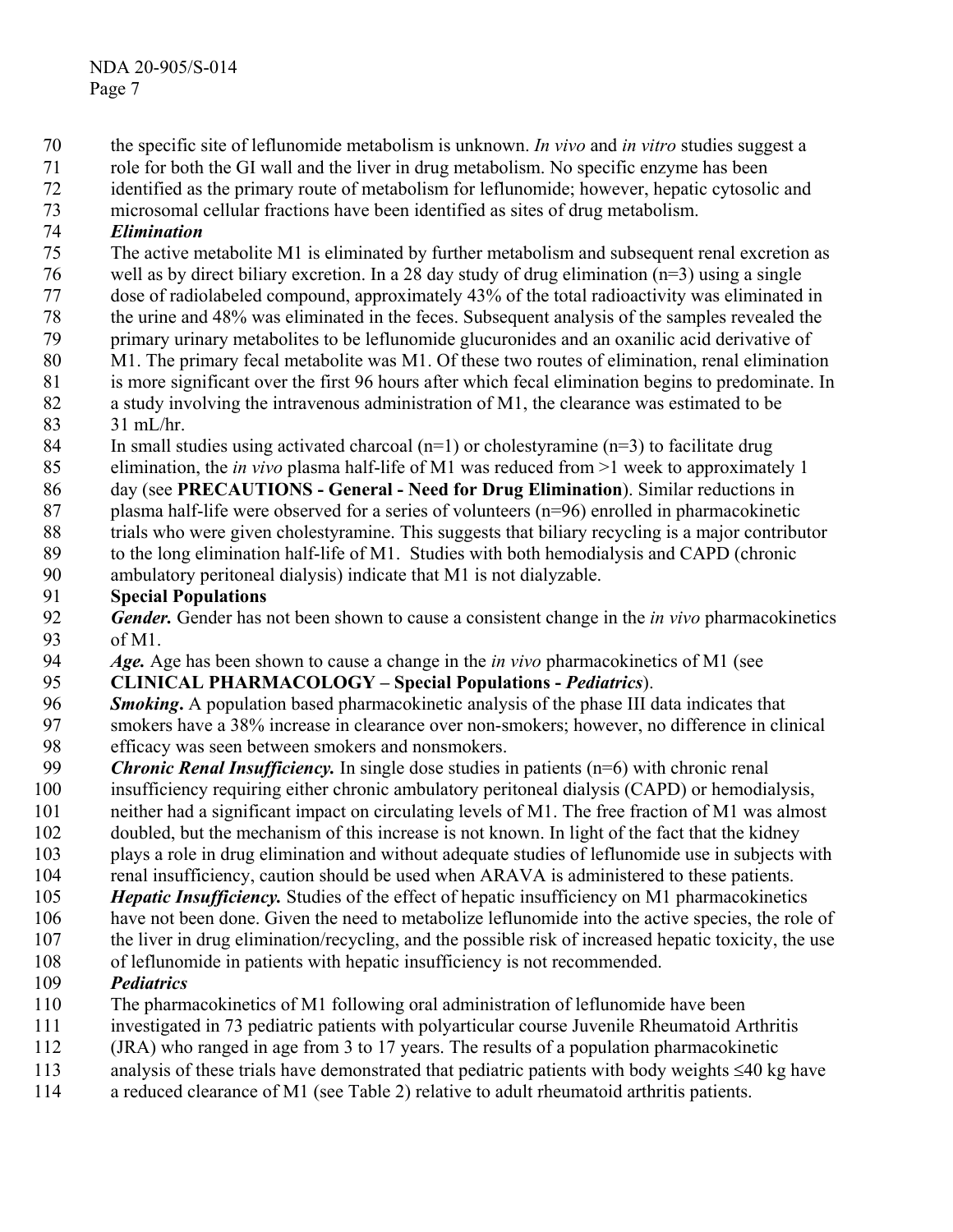- the specific site of leflunomide metabolism is unknown. *In vivo* and *in vitro* studies suggest a 70
- role for both the GI wall and the liver in drug metabolism. No specific enzyme has been 71
- identified as the primary route of metabolism for leflunomide; however, hepatic cytosolic and 72
- microsomal cellular fractions have been identified as sites of drug metabolism. 73

#### 74 *Elimination*

- 75 The active metabolite M1 is eliminated by further metabolism and subsequent renal excretion as
- 76 well as by direct biliary excretion. In a 28 day study of drug elimination (n=3) using a single
- 77 dose of radiolabeled compound, approximately 43% of the total radioactivity was eliminated in
- 78 the urine and 48% was eliminated in the feces. Subsequent analysis of the samples revealed the
- 79 80 primary urinary metabolites to be leflunomide glucuronides and an oxanilic acid derivative of M1. The primary fecal metabolite was M1. Of these two routes of elimination, renal elimination
- 81 is more significant over the first 96 hours after which fecal elimination begins to predominate. In
- 82 a study involving the intravenous administration of M1, the clearance was estimated to be
- 83  $31 \text{ mL/hr}$ .
- 84 In small studies using activated charcoal  $(n=1)$  or cholestyramine  $(n=3)$  to facilitate drug
- 85 elimination, the *in vivo* plasma half-life of M1 was reduced from >1 week to approximately 1
- 86 day (see **PRECAUTIONS - General - Need for Drug Elimination**). Similar reductions in
- 87 plasma half-life were observed for a series of volunteers (n=96) enrolled in pharmacokinetic
- 88 trials who were given cholestyramine. This suggests that biliary recycling is a major contributor
- 89 to the long elimination half-life of M1. Studies with both hemodialysis and CAPD (chronic
- 90 ambulatory peritoneal dialysis) indicate that M1 is not dialyzable.

#### 91 **Special Populations**

- 92 93 *Gender.* Gender has not been shown to cause a consistent change in the *in vivo* pharmacokinetics of M1.
- 94 *Age.* Age has been shown to cause a change in the *in vivo* pharmacokinetics of M1 (see

#### 95 **CLINICAL PHARMACOLOGY – Special Populations -** *Pediatrics*).

- 96 97 *Smoking*. A population based pharmacokinetic analysis of the phase III data indicates that smokers have a 38% increase in clearance over non-smokers; however, no difference in clinical
- 98 efficacy was seen between smokers and nonsmokers.
- 99 *Chronic Renal Insufficiency.* In single dose studies in patients (n=6) with chronic renal
- 100 insufficiency requiring either chronic ambulatory peritoneal dialysis (CAPD) or hemodialysis,
- 101 neither had a significant impact on circulating levels of M1. The free fraction of M1 was almost
- 102 doubled, but the mechanism of this increase is not known. In light of the fact that the kidney
- 103 plays a role in drug elimination and without adequate studies of leflunomide use in subjects with
- 104 renal insufficiency, caution should be used when ARAVA is administered to these patients.
- 105 *Hepatic Insufficiency*. Studies of the effect of hepatic insufficiency on M1 pharmacokinetics
- 106 have not been done. Given the need to metabolize leflunomide into the active species, the role of
- 107 the liver in drug elimination/recycling, and the possible risk of increased hepatic toxicity, the use
- 108 of leflunomide in patients with hepatic insufficiency is not recommended.
- 109 *Pediatrics*
- 110 The pharmacokinetics of M1 following oral administration of leflunomide have been
- 111 investigated in 73 pediatric patients with polyarticular course Juvenile Rheumatoid Arthritis
- 112 (JRA) who ranged in age from 3 to 17 years. The results of a population pharmacokinetic
- 113 analysis of these trials have demonstrated that pediatric patients with body weights ≤40 kg have
- 114 a reduced clearance of M1 (see Table 2) relative to adult rheumatoid arthritis patients.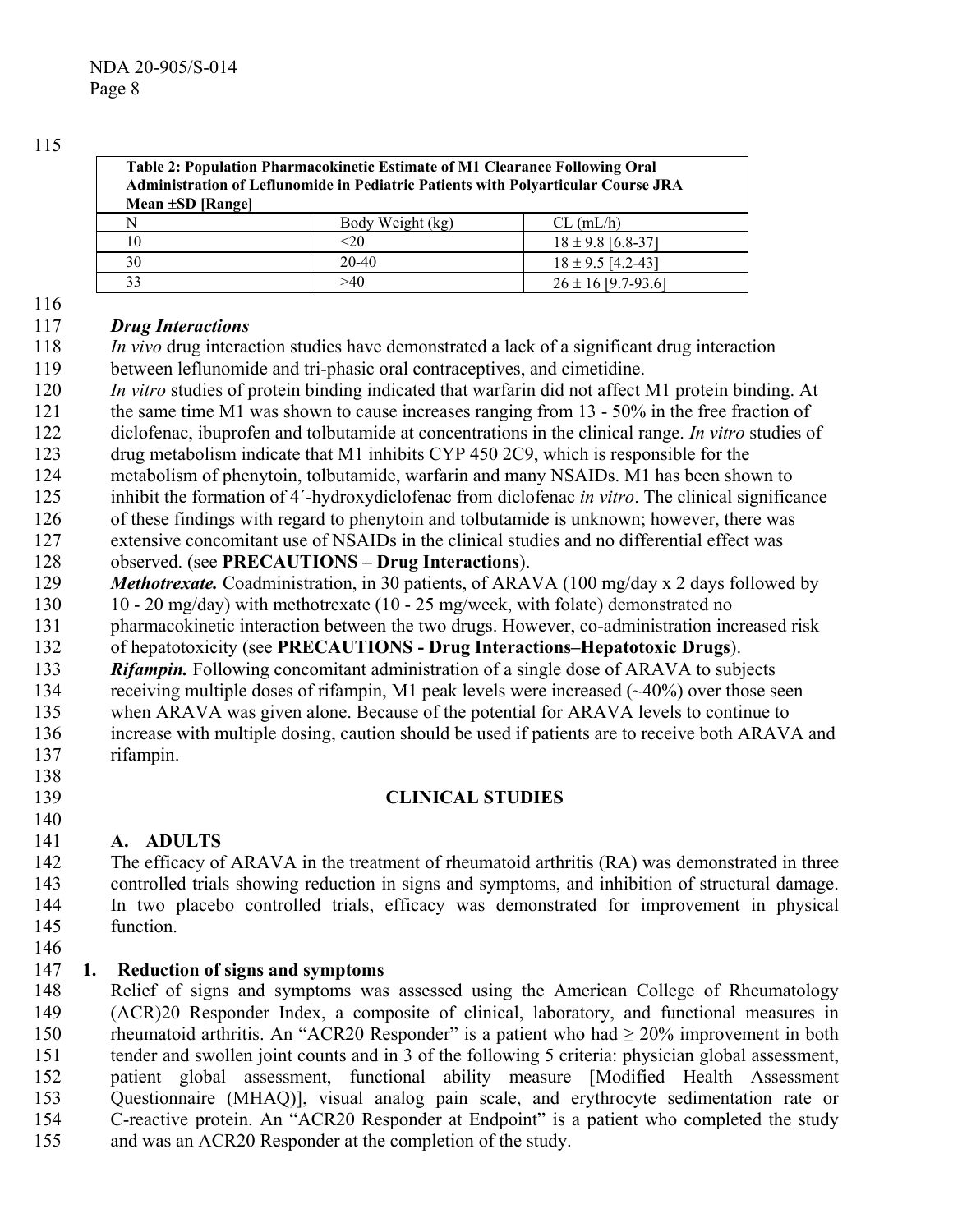| Table 2: Population Pharmacokinetic Estimate of M1 Clearance Following Oral<br><b>Administration of Leflunomide in Pediatric Patients with Polyarticular Course JRA</b><br>Mean ±SD [Range] |                  |                        |  |  |
|---------------------------------------------------------------------------------------------------------------------------------------------------------------------------------------------|------------------|------------------------|--|--|
| N                                                                                                                                                                                           | Body Weight (kg) | $CL$ (mL/h)            |  |  |
| 10                                                                                                                                                                                          | <20              | $18 \pm 9.8$ [6.8-37]  |  |  |
| 30                                                                                                                                                                                          | $20 - 40$        | $18 \pm 9.5$ [4.2-43]  |  |  |
| 33                                                                                                                                                                                          | >40              | $26 \pm 16$ [9.7-93.6] |  |  |

139

#### 117 *Drug Interactions*

- 118 119 *In vivo* drug interaction studies have demonstrated a lack of a significant drug interaction between leflunomide and tri-phasic oral contraceptives, and cimetidine.
- 120 *In vitro* studies of protein binding indicated that warfarin did not affect M1 protein binding. At
- 121 the same time M1 was shown to cause increases ranging from 13 - 50% in the free fraction of
- 122 diclofenac, ibuprofen and tolbutamide at concentrations in the clinical range. *In vitro* studies of
- 123 drug metabolism indicate that M1 inhibits CYP 450 2C9, which is responsible for the
- 124 metabolism of phenytoin, tolbutamide, warfarin and many NSAIDs. M1 has been shown to
- 125 inhibit the formation of 4´-hydroxydiclofenac from diclofenac *in vitro*. The clinical significance
- 126 of these findings with regard to phenytoin and tolbutamide is unknown; however, there was
- 127 extensive concomitant use of NSAIDs in the clinical studies and no differential effect was
- 128 observed. (see **PRECAUTIONS – Drug Interactions**).
- 129 *Methotrexate.* Coadministration, in 30 patients, of ARAVA (100 mg/day x 2 days followed by
- 130 10 - 20 mg/day) with methotrexate (10 - 25 mg/week, with folate) demonstrated no
- 131 pharmacokinetic interaction between the two drugs. However, co-administration increased risk
- 132 of hepatotoxicity (see **PRECAUTIONS - Drug Interactions–Hepatotoxic Drugs**).
- 133 *Rifampin.* Following concomitant administration of a single dose of ARAVA to subjects
- 134 receiving multiple doses of rifampin, M1 peak levels were increased (~40%) over those seen
- 135 when ARAVA was given alone. Because of the potential for ARAVA levels to continue to
- 136 137 138 increase with multiple dosing, caution should be used if patients are to receive both ARAVA and rifampin.

# **CLINICAL STUDIES**

### 140 141 **A. ADULTS**

142 143 144 145 146 The efficacy of ARAVA in the treatment of rheumatoid arthritis (RA) was demonstrated in three controlled trials showing reduction in signs and symptoms, and inhibition of structural damage. In two placebo controlled trials, efficacy was demonstrated for improvement in physical function.

#### 147 **1. Reduction of signs and symptoms**

148 149 150 151 152 153 154 155 Relief of signs and symptoms was assessed using the American College of Rheumatology (ACR)20 Responder Index, a composite of clinical, laboratory, and functional measures in rheumatoid arthritis. An "ACR20 Responder" is a patient who had  $\geq 20\%$  improvement in both tender and swollen joint counts and in 3 of the following 5 criteria: physician global assessment, patient global assessment, functional ability measure [Modified Health Assessment Questionnaire (MHAQ)], visual analog pain scale, and erythrocyte sedimentation rate or C-reactive protein. An "ACR20 Responder at Endpoint" is a patient who completed the study and was an ACR20 Responder at the completion of the study.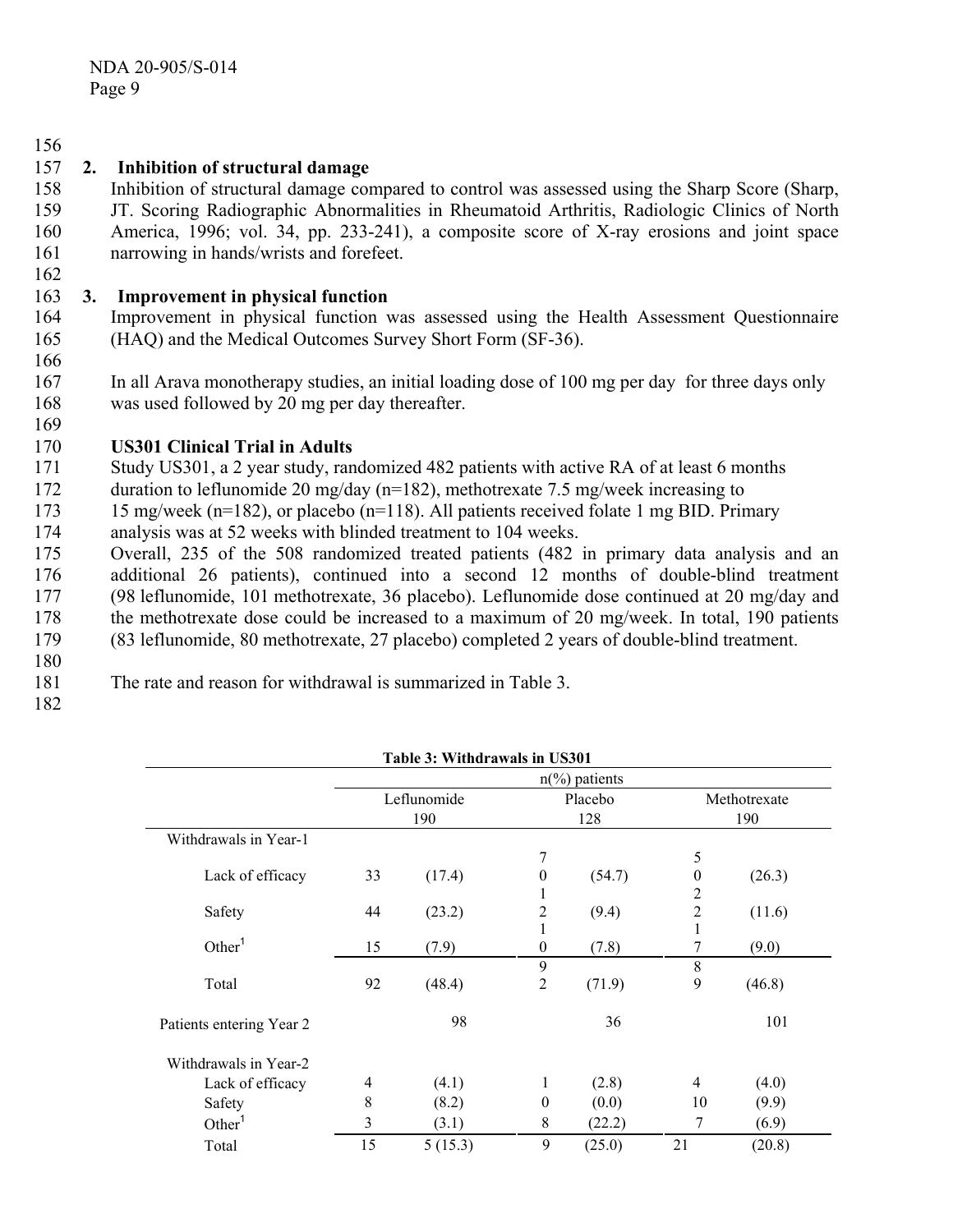#### 156 157 **2. Inhibition of structural damage**

- 158 Inhibition of structural damage compared to control was assessed using the Sharp Score (Sharp,
- 159 160 161 JT. Scoring Radiographic Abnormalities in Rheumatoid Arthritis, Radiologic Clinics of North America, 1996; vol. 34, pp. 233-241), a composite score of X-ray erosions and joint space narrowing in hands/wrists and forefeet.

#### 163 **3. Improvement in physical function**

- 164 165 Improvement in physical function was assessed using the Health Assessment Questionnaire (HAQ) and the Medical Outcomes Survey Short Form (SF-36).
- 166

169

162

167 168 In all Arava monotherapy studies, an initial loading dose of 100 mg per day for three days only was used followed by 20 mg per day thereafter.

#### 170 **US301 Clinical Trial in Adults**

- 171 Study US301, a 2 year study, randomized 482 patients with active RA of at least 6 months
- 172 duration to leflunomide 20 mg/day ( $n=182$ ), methotrexate 7.5 mg/week increasing to
- 173 15 mg/week (n=182), or placebo (n=118). All patients received folate 1 mg BID. Primary
- 174 analysis was at 52 weeks with blinded treatment to 104 weeks.
- 175 176 177 178 179 Overall, 235 of the 508 randomized treated patients (482 in primary data analysis and an additional 26 patients), continued into a second 12 months of double-blind treatment (98 leflunomide, 101 methotrexate, 36 placebo). Leflunomide dose continued at 20 mg/day and the methotrexate dose could be increased to a maximum of 20 mg/week. In total, 190 patients (83 leflunomide, 80 methotrexate, 27 placebo) completed 2 years of double-blind treatment.
- 180
- 181 The rate and reason for withdrawal is summarized in Table 3.
- 182

|                          |       | Table 3: Withdrawals in US301 |                  |                         |                  |              |
|--------------------------|-------|-------------------------------|------------------|-------------------------|------------------|--------------|
|                          |       |                               |                  | $n\frac{6}{6}$ patients |                  |              |
|                          |       | Leflunomide                   |                  | Placebo                 |                  | Methotrexate |
|                          |       | 190                           |                  | 128                     |                  | 190          |
| Withdrawals in Year-1    |       |                               |                  |                         |                  |              |
|                          |       |                               | 7                |                         | 5                |              |
| Lack of efficacy         | 33    | (17.4)                        | $\mathbf{0}$     | (54.7)                  | $\boldsymbol{0}$ | (26.3)       |
|                          |       |                               | 1                |                         | $\overline{c}$   |              |
| Safety                   | 44    | (23.2)                        | 2                | (9.4)                   | $\overline{c}$   | (11.6)       |
|                          |       |                               | 1                |                         | 1                |              |
| Other <sup>1</sup>       | 15    | (7.9)                         | $\mathbf{0}$     | (7.8)                   | 7                | (9.0)        |
|                          |       |                               | 9                |                         | 8                |              |
| Total                    | 92    | (48.4)                        | 2                | (71.9)                  | 9                | (46.8)       |
| Patients entering Year 2 |       | 98                            |                  | 36                      |                  | 101          |
| Withdrawals in Year-2    |       |                               |                  |                         |                  |              |
| Lack of efficacy         | 4     | (4.1)                         | 1                | (2.8)                   | $\overline{4}$   | (4.0)        |
| Safety                   | $8\,$ | (8.2)                         | $\boldsymbol{0}$ | (0.0)                   | 10               | (9.9)        |
| Other <sup>1</sup>       | 3     | (3.1)                         | 8                | (22.2)                  | 7                | (6.9)        |
| Total                    | 15    | 5(15.3)                       | 9                | (25.0)                  | 21               | (20.8)       |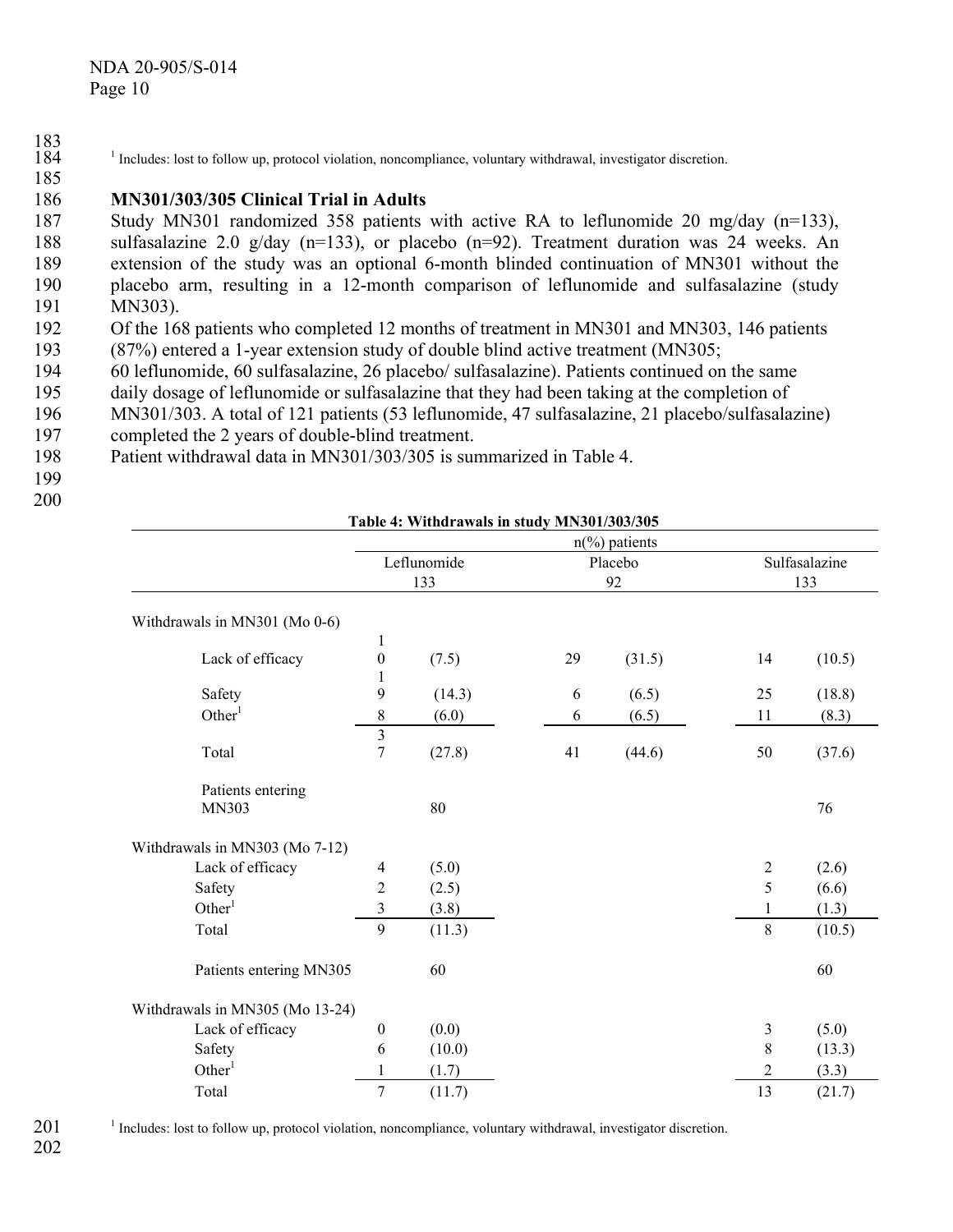#### 186 **MN301/303/305 Clinical Trial in Adults**

187 188 189 190 191 Study MN301 randomized 358 patients with active RA to leflunomide 20 mg/day (n=133), sulfasalazine 2.0 g/day  $(n=133)$ , or placebo  $(n=92)$ . Treatment duration was 24 weeks. An extension of the study was an optional 6-month blinded continuation of MN301 without the placebo arm, resulting in a 12-month comparison of leflunomide and sulfasalazine (study MN303).

- 192 193 Of the 168 patients who completed 12 months of treatment in MN301 and MN303, 146 patients (87%) entered a 1-year extension study of double blind active treatment (MN305;
- 194 60 leflunomide, 60 sulfasalazine, 26 placebo/ sulfasalazine). Patients continued on the same
- 195 daily dosage of leflunomide or sulfasalazine that they had been taking at the completion of
- 196 MN301/303. A total of 121 patients (53 leflunomide, 47 sulfasalazine, 21 placebo/sulfasalazine)
- 197 completed the 2 years of double-blind treatment.
- 198 Patient withdrawal data in MN301/303/305 is summarized in Table 4.
- 199 200

185

|                                 |                         |             |    | $n\frac{6}{6}$ patients |            |               |
|---------------------------------|-------------------------|-------------|----|-------------------------|------------|---------------|
|                                 |                         | Leflunomide |    | Placebo                 |            | Sulfasalazine |
|                                 |                         | 133         |    | 92                      |            | 133           |
| Withdrawals in MN301 (Mo 0-6)   |                         |             |    |                         |            |               |
|                                 | $\mathbf{1}$            |             |    |                         |            |               |
| Lack of efficacy                | $\boldsymbol{0}$        | (7.5)       | 29 | (31.5)                  | 14         | (10.5)        |
|                                 | 1                       |             |    |                         |            |               |
| Safety                          | 9                       | (14.3)      | 6  | (6.5)                   | 25         | (18.8)        |
| Other <sup>1</sup>              | $\,$ $\,$               | (6.0)       | 6  | (6.5)                   | 11         | (8.3)         |
|                                 | $\overline{\mathbf{3}}$ |             |    |                         |            |               |
| Total                           | $\overline{7}$          | (27.8)      | 41 | (44.6)                  | 50         | (37.6)        |
| Patients entering               |                         |             |    |                         |            |               |
| MN303                           |                         | 80          |    |                         |            | 76            |
| Withdrawals in MN303 (Mo 7-12)  |                         |             |    |                         |            |               |
| Lack of efficacy                | $\overline{4}$          | (5.0)       |    |                         | $\sqrt{2}$ | (2.6)         |
| Safety                          | $\overline{2}$          | (2.5)       |    |                         | 5          | (6.6)         |
| Other <sup>1</sup>              | $\mathfrak{Z}$          | (3.8)       |    |                         | 1          | (1.3)         |
| Total                           | 9                       | (11.3)      |    |                         | 8          | (10.5)        |
| Patients entering MN305         |                         | 60          |    |                         |            | 60            |
| Withdrawals in MN305 (Mo 13-24) |                         |             |    |                         |            |               |
| Lack of efficacy                | $\boldsymbol{0}$        | (0.0)       |    |                         | 3          | (5.0)         |
| Safety                          | 6                       | (10.0)      |    |                         | $\,$ $\,$  | (13.3)        |
| Other <sup>1</sup>              | 1                       | (1.7)       |    |                         | 2          | (3.3)         |
| Total                           | $\boldsymbol{7}$        | (11.7)      |    |                         | 13         | (21.7)        |
|                                 |                         |             |    |                         |            |               |

**Table 4: Withdrawals in study MN301/303/305** 

201 <sup>1</sup> Includes: lost to follow up, protocol violation, noncompliance, voluntary withdrawal, investigator discretion.

<sup>183</sup>  184 <sup>1</sup> Includes: lost to follow up, protocol violation, noncompliance, voluntary withdrawal, investigator discretion.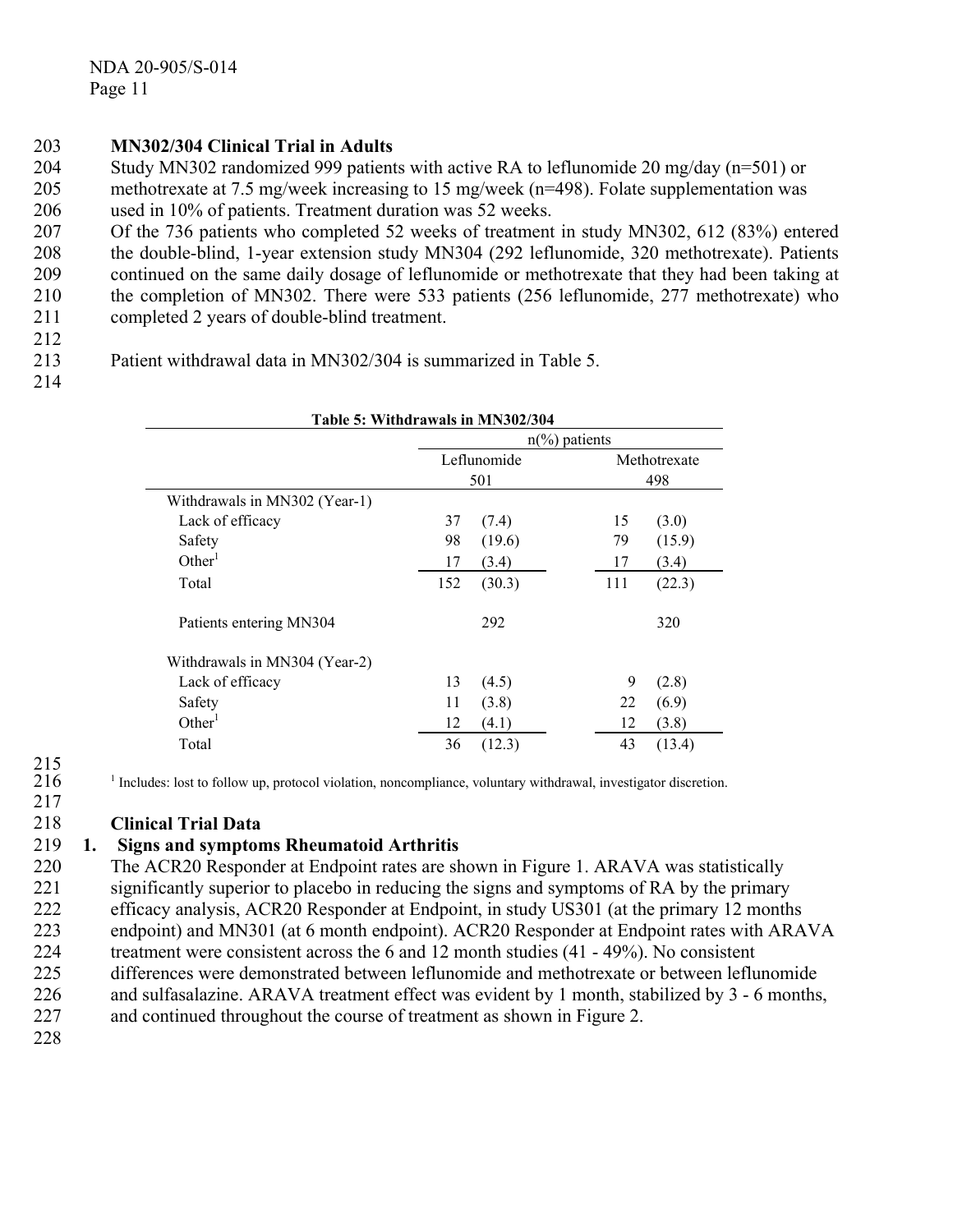# 203 **MN302/304 Clinical Trial in Adults**

204 205 206 Study MN302 randomized 999 patients with active RA to leflunomide 20 mg/day (n=501) or methotrexate at 7.5 mg/week increasing to 15 mg/week (n=498). Folate supplementation was used in 10% of patients. Treatment duration was 52 weeks.

207 208 209 210 211 Of the 736 patients who completed 52 weeks of treatment in study MN302, 612 (83%) entered the double-blind, 1-year extension study MN304 (292 leflunomide, 320 methotrexate). Patients continued on the same daily dosage of leflunomide or methotrexate that they had been taking at the completion of MN302. There were 533 patients (256 leflunomide, 277 methotrexate) who completed 2 years of double-blind treatment.

- 212
- 213 Patient withdrawal data in MN302/304 is summarized in Table 5.
- 214

| Table 5: Withdrawals in MN302/304 |                         |             |     |              |  |  |
|-----------------------------------|-------------------------|-------------|-----|--------------|--|--|
|                                   | $n\frac{6}{6}$ patients |             |     |              |  |  |
|                                   |                         | Leflunomide |     | Methotrexate |  |  |
|                                   |                         | 501         |     | 498          |  |  |
| Withdrawals in MN302 (Year-1)     |                         |             |     |              |  |  |
| Lack of efficacy                  | 37                      | (7.4)       | 15  | (3.0)        |  |  |
| Safety                            | 98                      | (19.6)      | 79  | (15.9)       |  |  |
| Other <sup>1</sup>                | 17                      | (3.4)       | 17  | (3.4)        |  |  |
| Total                             | 152                     | (30.3)      | 111 | (22.3)       |  |  |
| Patients entering MN304           |                         | 292         |     | 320          |  |  |
| Withdrawals in MN304 (Year-2)     |                         |             |     |              |  |  |
| Lack of efficacy                  | 13                      | (4.5)       | 9   | (2.8)        |  |  |
| Safety                            | 11                      | (3.8)       | 22  | (6.9)        |  |  |
| Other <sup>1</sup>                | 12                      | (4.1)       | 12  | (3.8)        |  |  |
| Total                             | 36                      | (12.3)      | 43  | (13.4)       |  |  |

215 216

217 <sup>1</sup> Includes: lost to follow up, protocol violation, noncompliance, voluntary withdrawal, investigator discretion.

#### 218 **Clinical Trial Data**

#### 219 **1. Signs and symptoms Rheumatoid Arthritis**

220 221 The ACR20 Responder at Endpoint rates are shown in Figure 1. ARAVA was statistically significantly superior to placebo in reducing the signs and symptoms of RA by the primary

- 222 efficacy analysis, ACR20 Responder at Endpoint, in study US301 (at the primary 12 months
- 223 endpoint) and MN301 (at 6 month endpoint). ACR20 Responder at Endpoint rates with ARAVA
- 224 treatment were consistent across the 6 and 12 month studies (41 - 49%). No consistent
- 225 differences were demonstrated between leflunomide and methotrexate or between leflunomide
- 226 and sulfasalazine. ARAVA treatment effect was evident by 1 month, stabilized by 3 - 6 months,
- 227 and continued throughout the course of treatment as shown in Figure 2.
- 228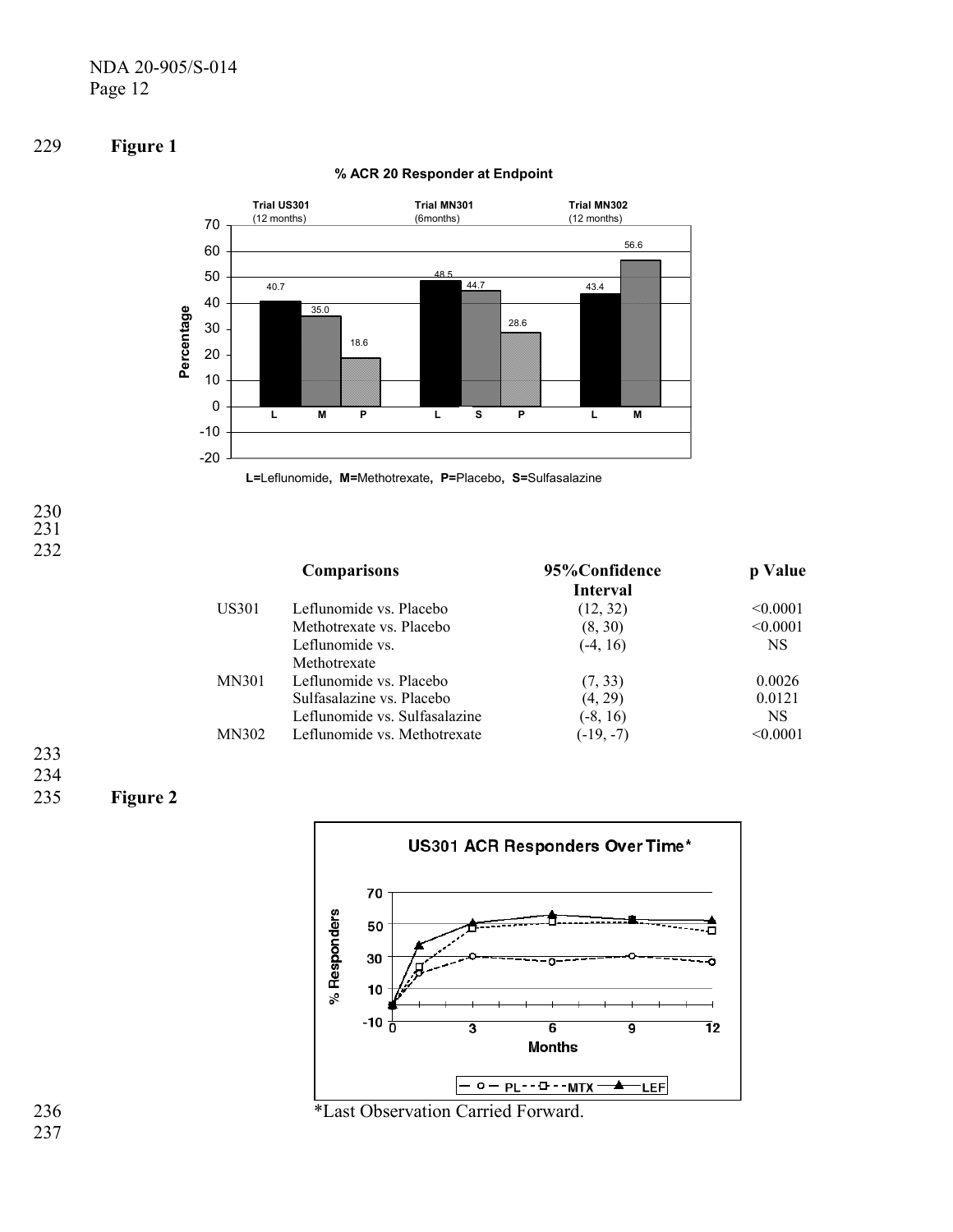



## **% ACR 20 Responder at Endpoint**



230 231 232

| <b>Comparisons</b> |                               | 95%Confidence | p Value   |
|--------------------|-------------------------------|---------------|-----------|
|                    |                               | Interval      |           |
| US301              | Leflunomide vs. Placebo       | (12, 32)      | < 0.0001  |
|                    | Methotrexate vs. Placebo      | (8, 30)       | < 0.0001  |
|                    | Leflunomide vs.               | $(-4, 16)$    | <b>NS</b> |
|                    | Methotrexate                  |               |           |
| <b>MN301</b>       | Leflunomide vs. Placebo       | (7, 33)       | 0.0026    |
|                    | Sulfasalazine vs. Placebo     | (4, 29)       | 0.0121    |
|                    | Leflunomide vs. Sulfasalazine | $(-8, 16)$    | NS.       |
| MN302              | Leflunomide vs. Methotrexate  | $(-19, -7)$   | < 0.0001  |

### 233 234

#### 235 **Figure 2**



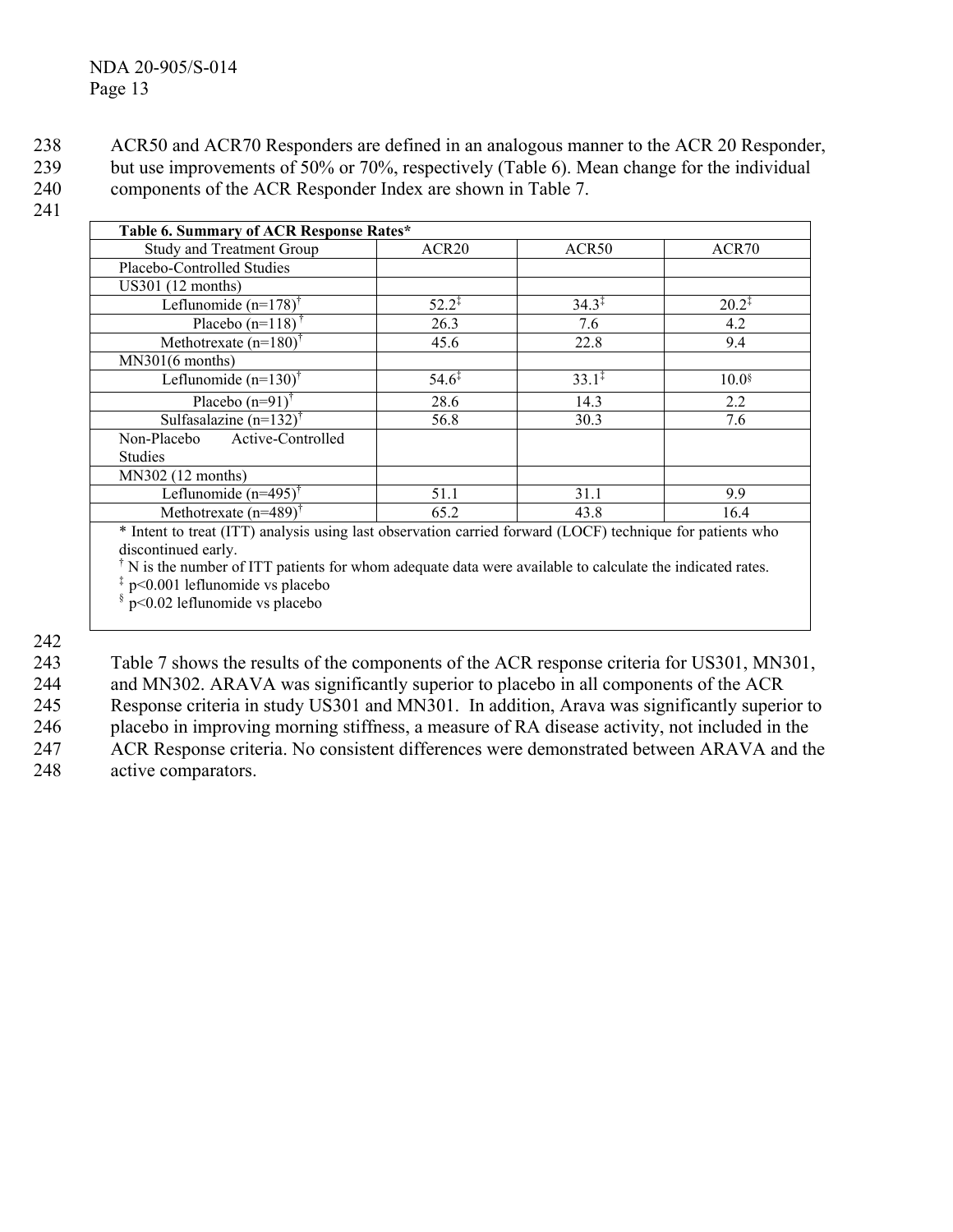ACR50 and ACR70 Responders are defined in an analogous manner to the ACR 20 Responder, but use improvements of 50% or 70%, respectively (Table 6). Mean change for the individual components of the ACR Responder Index are shown in Table 7. 238 239 240

### 241

| Table 6. Summary of ACR Response Rates* |                   |                   |                     |
|-----------------------------------------|-------------------|-------------------|---------------------|
| <b>Study and Treatment Group</b>        | ACR <sub>20</sub> | ACR <sub>50</sub> | ACR70               |
| Placebo-Controlled Studies              |                   |                   |                     |
| US301 (12 months)                       |                   |                   |                     |
| Leflunomide $(n=178)$ <sup>†</sup>      | $52.2^{\ddagger}$ | $34.3^{\ddagger}$ | $20.2^{\ddagger}$   |
| Placebo $(n=118)$                       | 26.3              | 7.6               | 4.2                 |
| Methotrexate $(n=180)^{\dagger}$        | 45.6              | 22.8              | 9.4                 |
| MN301(6 months)                         |                   |                   |                     |
| Leflunomide $(n=130)^{\dagger}$         | $54.6^{\ddagger}$ | $33.1^{\ddagger}$ | $10.0$ <sup>§</sup> |
| Placebo $(n=91)$ <sup>†</sup>           | 28.6              | 14.3              | 2.2                 |
| Sulfasalazine $(n=132)^{t}$             | 56.8              | 30.3              | 7.6                 |
| Active-Controlled<br>Non-Placebo        |                   |                   |                     |
| <b>Studies</b>                          |                   |                   |                     |
| MN302 (12 months)                       |                   |                   |                     |
| Leflunomide $(n=495)^{\dagger}$         | 51.1              | 31.1              | 9.9                 |
| Methotrexate $(n=489)$ <sup>†</sup>     | 65.2              | 43.8              | 16.4                |

\* Intent to treat (ITT) analysis using last observation carried forward (LOCF) technique for patients who discontinued early.

<sup>†</sup> N is the number of ITT patients for whom adequate data were available to calculate the indicated rates.

 $\frac{1}{2}$  p<0.001 leflunomide vs placebo<br> $\frac{1}{2}$  p<0.02 leflunomide vs placebo § p<0.02 leflunomide vs placebo

242

243 244 245 246 247 248 Table 7 shows the results of the components of the ACR response criteria for US301, MN301, and MN302. ARAVA was significantly superior to placebo in all components of the ACR Response criteria in study US301 and MN301. In addition, Arava was significantly superior to placebo in improving morning stiffness, a measure of RA disease activity, not included in the ACR Response criteria. No consistent differences were demonstrated between ARAVA and the active comparators.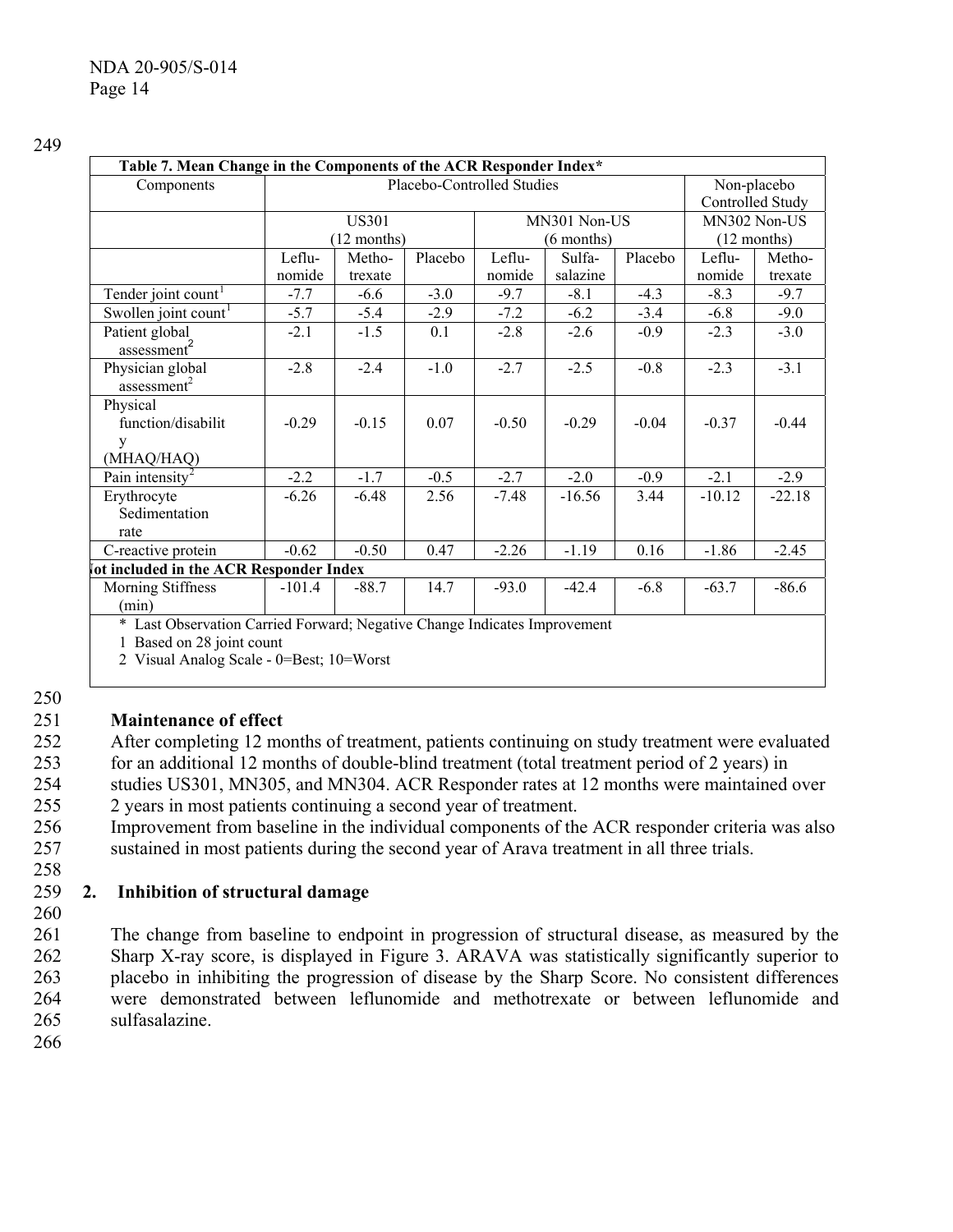| Table 7. Mean Change in the Components of the ACR Responder Index*        |          |                            |         |         |              |         |               |                  |  |
|---------------------------------------------------------------------------|----------|----------------------------|---------|---------|--------------|---------|---------------|------------------|--|
| Components                                                                |          | Placebo-Controlled Studies |         |         |              |         | Non-placebo   |                  |  |
|                                                                           |          |                            |         |         |              |         |               | Controlled Study |  |
|                                                                           |          | <b>US301</b>               |         |         | MN301 Non-US |         |               | MN302 Non-US     |  |
|                                                                           |          | $(12$ months)              |         |         | $(6$ months) |         | $(12$ months) |                  |  |
|                                                                           | Leflu-   | Metho-                     | Placebo | Leflu-  | Sulfa-       | Placebo | Leflu-        | Metho-           |  |
|                                                                           | nomide   | trexate                    |         | nomide  | salazine     |         | nomide        | trexate          |  |
| Tender joint count <sup>1</sup>                                           | $-7.7$   | $-6.6$                     | $-3.0$  | $-9.7$  | $-8.1$       | $-4.3$  | $-8.3$        | $-9.7$           |  |
| Swollen joint count                                                       | $-5.7$   | $-5.4$                     | $-2.9$  | $-7.2$  | $-6.2$       | $-3.4$  | $-6.8$        | $-9.0$           |  |
| Patient global                                                            | $-2.1$   | $-1.5$                     | 0.1     | $-2.8$  | $-2.6$       | $-0.9$  | $-2.3$        | $-3.0$           |  |
| assessment <sup>2</sup>                                                   |          |                            |         |         |              |         |               |                  |  |
| Physician global                                                          | $-2.8$   | $-2.4$                     | $-1.0$  | $-2.7$  | $-2.5$       | $-0.8$  | $-2.3$        | $-3.1$           |  |
| assessment <sup>2</sup>                                                   |          |                            |         |         |              |         |               |                  |  |
| Physical                                                                  |          |                            |         |         |              |         |               |                  |  |
| function/disabilit                                                        | $-0.29$  | $-0.15$                    | 0.07    | $-0.50$ | $-0.29$      | $-0.04$ | $-0.37$       | $-0.44$          |  |
| y                                                                         |          |                            |         |         |              |         |               |                  |  |
| (MHAQ/HAQ)                                                                |          |                            |         |         |              |         |               |                  |  |
| Pain intensity                                                            | $-2.2$   | $-1.7$                     | $-0.5$  | $-2.7$  | $-2.0$       | $-0.9$  | $-2.1$        | $-2.9$           |  |
| Erythrocyte                                                               | $-6.26$  | $-6.48$                    | 2.56    | $-7.48$ | $-16.56$     | 3.44    | $-10.12$      | $-22.18$         |  |
| Sedimentation                                                             |          |                            |         |         |              |         |               |                  |  |
| rate                                                                      |          |                            |         |         |              |         |               |                  |  |
| C-reactive protein                                                        | $-0.62$  | $-0.50$                    | 0.47    | $-2.26$ | $-1.19$      | 0.16    | $-1.86$       | $-2.45$          |  |
| ot included in the ACR Responder Index                                    |          |                            |         |         |              |         |               |                  |  |
| Morning Stiffness                                                         | $-101.4$ | $-88.7$                    | 14.7    | $-93.0$ | $-42.4$      | $-6.8$  | $-63.7$       | $-86.6$          |  |
| (min)                                                                     |          |                            |         |         |              |         |               |                  |  |
| * Last Observation Carried Forward; Negative Change Indicates Improvement |          |                            |         |         |              |         |               |                  |  |
| 1 Based on 28 joint count                                                 |          |                            |         |         |              |         |               |                  |  |

2 Visual Analog Scale - 0=Best; 10=Worst

250

#### 251 **Maintenance of effect**

252 253 254 255 After completing 12 months of treatment, patients continuing on study treatment were evaluated for an additional 12 months of double-blind treatment (total treatment period of 2 years) in studies US301, MN305, and MN304. ACR Responder rates at 12 months were maintained over 2 years in most patients continuing a second year of treatment.

256 257 Improvement from baseline in the individual components of the ACR responder criteria was also sustained in most patients during the second year of Arava treatment in all three trials.

#### 259 **2. Inhibition of structural damage**

260

258

261 262 263 264 265 The change from baseline to endpoint in progression of structural disease, as measured by the Sharp X-ray score, is displayed in Figure 3. ARAVA was statistically significantly superior to placebo in inhibiting the progression of disease by the Sharp Score. No consistent differences were demonstrated between leflunomide and methotrexate or between leflunomide and sulfasalazine.

266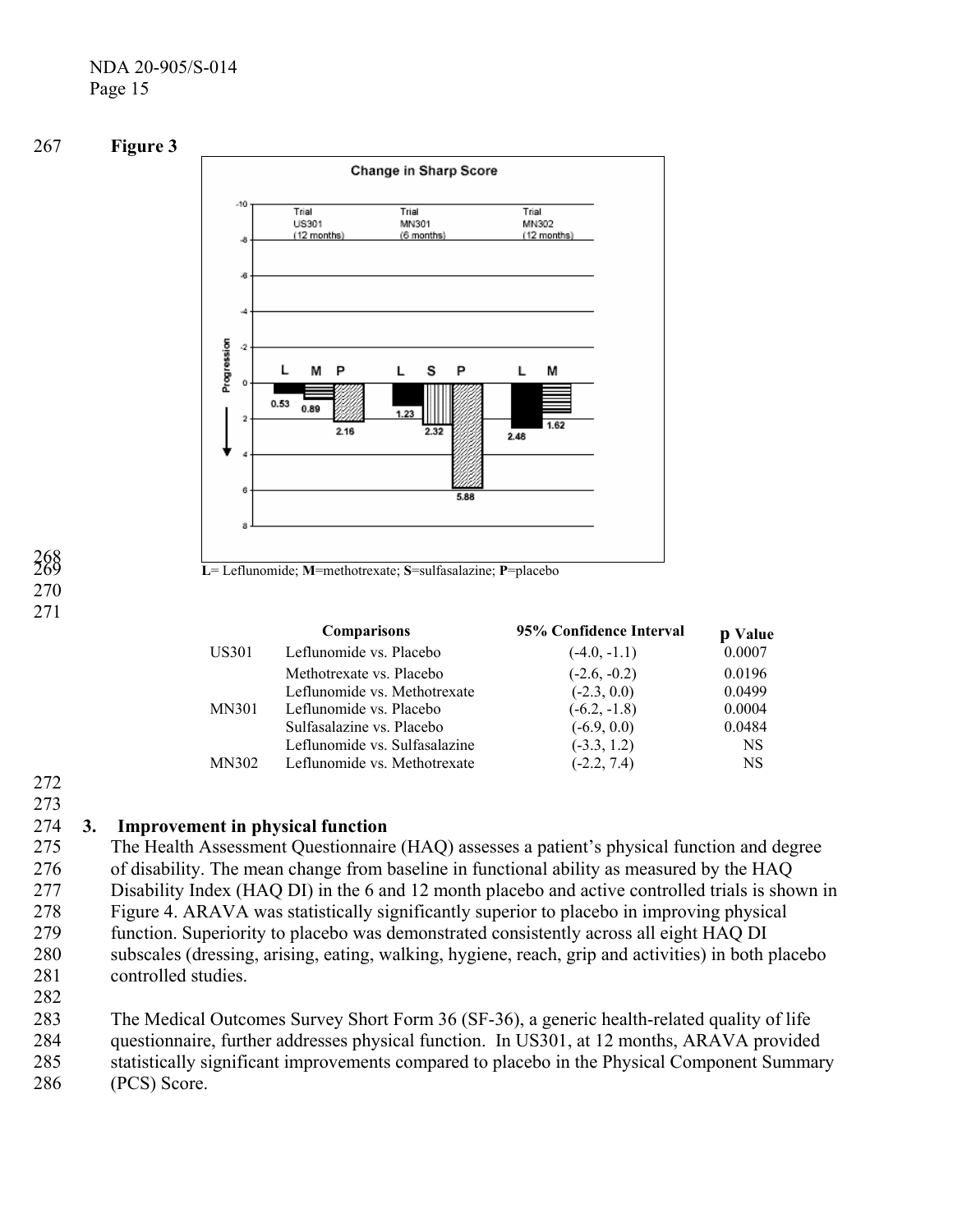### NDA 20-905/S-014 Page 15





# 268 269 270 271

|              | <b>Comparisons</b>            | 95% Confidence Interval | p Value |
|--------------|-------------------------------|-------------------------|---------|
| US301        | Leflunomide vs. Placebo       | $(-4.0, -1.1)$          | 0.0007  |
|              | Methotrexate vs. Placebo      | $(-2.6, -0.2)$          | 0.0196  |
|              | Leflunomide vs. Methotrexate  | $(-2.3, 0.0)$           | 0.0499  |
| <b>MN301</b> | Leflunomide vs. Placebo       | $(-6.2, -1.8)$          | 0.0004  |
|              | Sulfasalazine vs. Placebo     | $(-6.9, 0.0)$           | 0.0484  |
|              | Leflunomide vs. Sulfasalazine | $(-3.3, 1.2)$           | NS.     |
| MN302        | Leflunomide vs. Methotrexate  | $(-2.2, 7.4)$           | NS.     |

# 272

273

#### 274 **3. Improvement in physical function**

275 276 277 278 279 280 The Health Assessment Questionnaire (HAQ) assesses a patient's physical function and degree of disability. The mean change from baseline in functional ability as measured by the HAQ Disability Index (HAQ DI) in the 6 and 12 month placebo and active controlled trials is shown in Figure 4. ARAVA was statistically significantly superior to placebo in improving physical function. Superiority to placebo was demonstrated consistently across all eight HAQ DI subscales (dressing, arising, eating, walking, hygiene, reach, grip and activities) in both placebo controlled studies.

- 281 282
- 283 The Medical Outcomes Survey Short Form 36 (SF-36), a generic health-related quality of life
- 284 questionnaire, further addresses physical function. In US301, at 12 months, ARAVA provided
- 285 statistically significant improvements compared to placebo in the Physical Component Summary
- 286 (PCS) Score.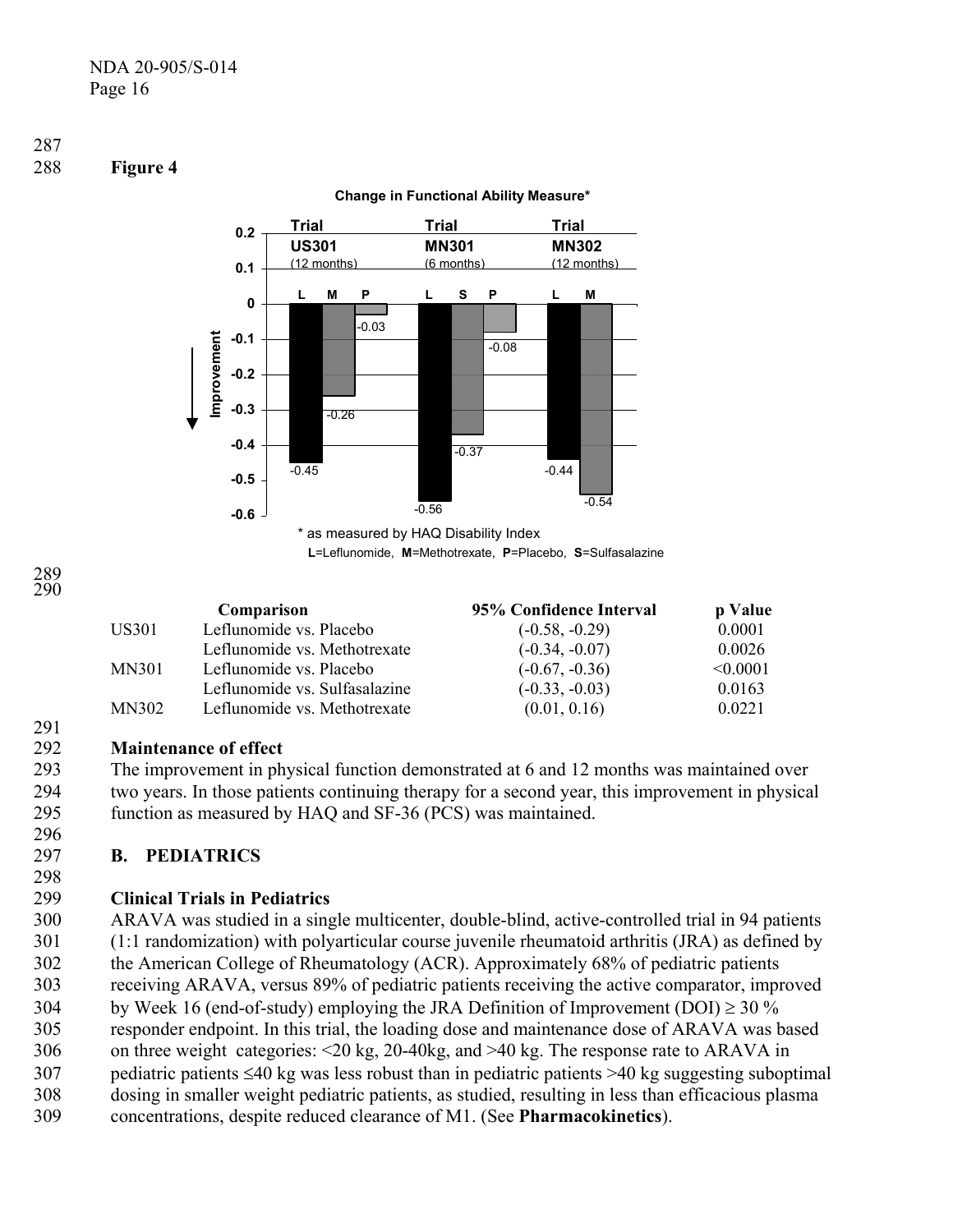

# **Change in Functional Ability Measure\***

**L**=Leflunomide, **M**=Methotrexate, **P**=Placebo, **S**=Sulfasalazine

291

287

288 **Figure 4** 

|       | Comparison                    | 95% Confidence Interval | p Value       |
|-------|-------------------------------|-------------------------|---------------|
| US301 | Leflunomide vs. Placebo       | $(-0.58, -0.29)$        | 0.0001        |
|       | Leflunomide vs. Methotrexate  | $(-0.34, -0.07)$        | 0.0026        |
| MN301 | Leflunomide vs. Placebo       | $(-0.67, -0.36)$        | $\leq 0.0001$ |
|       | Leflunomide vs. Sulfasalazine | $(-0.33, -0.03)$        | 0.0163        |
| MN302 | Leflunomide vs. Methotrexate  | (0.01, 0.16)            | 0.0221        |

#### 292 **Maintenance of effect**

293 294 295 The improvement in physical function demonstrated at 6 and 12 months was maintained over two years. In those patients continuing therapy for a second year, this improvement in physical function as measured by HAQ and SF-36 (PCS) was maintained.

#### 297 **B. PEDIATRICS**

298

296

#### 299 **Clinical Trials in Pediatrics**

300 301 302 303 304 305 306 307 308 309 ARAVA was studied in a single multicenter, double-blind, active-controlled trial in 94 patients (1:1 randomization) with polyarticular course juvenile rheumatoid arthritis (JRA) as defined by the American College of Rheumatology (ACR). Approximately 68% of pediatric patients receiving ARAVA, versus 89% of pediatric patients receiving the active comparator, improved by Week 16 (end-of-study) employing the JRA Definition of Improvement (DOI)  $\geq$  30 % responder endpoint. In this trial, the loading dose and maintenance dose of ARAVA was based on three weight categories: <20 kg, 20-40kg, and >40 kg. The response rate to ARAVA in pediatric patients ≤40 kg was less robust than in pediatric patients >40 kg suggesting suboptimal dosing in smaller weight pediatric patients, as studied, resulting in less than efficacious plasma concentrations, despite reduced clearance of M1. (See **Pharmacokinetics**).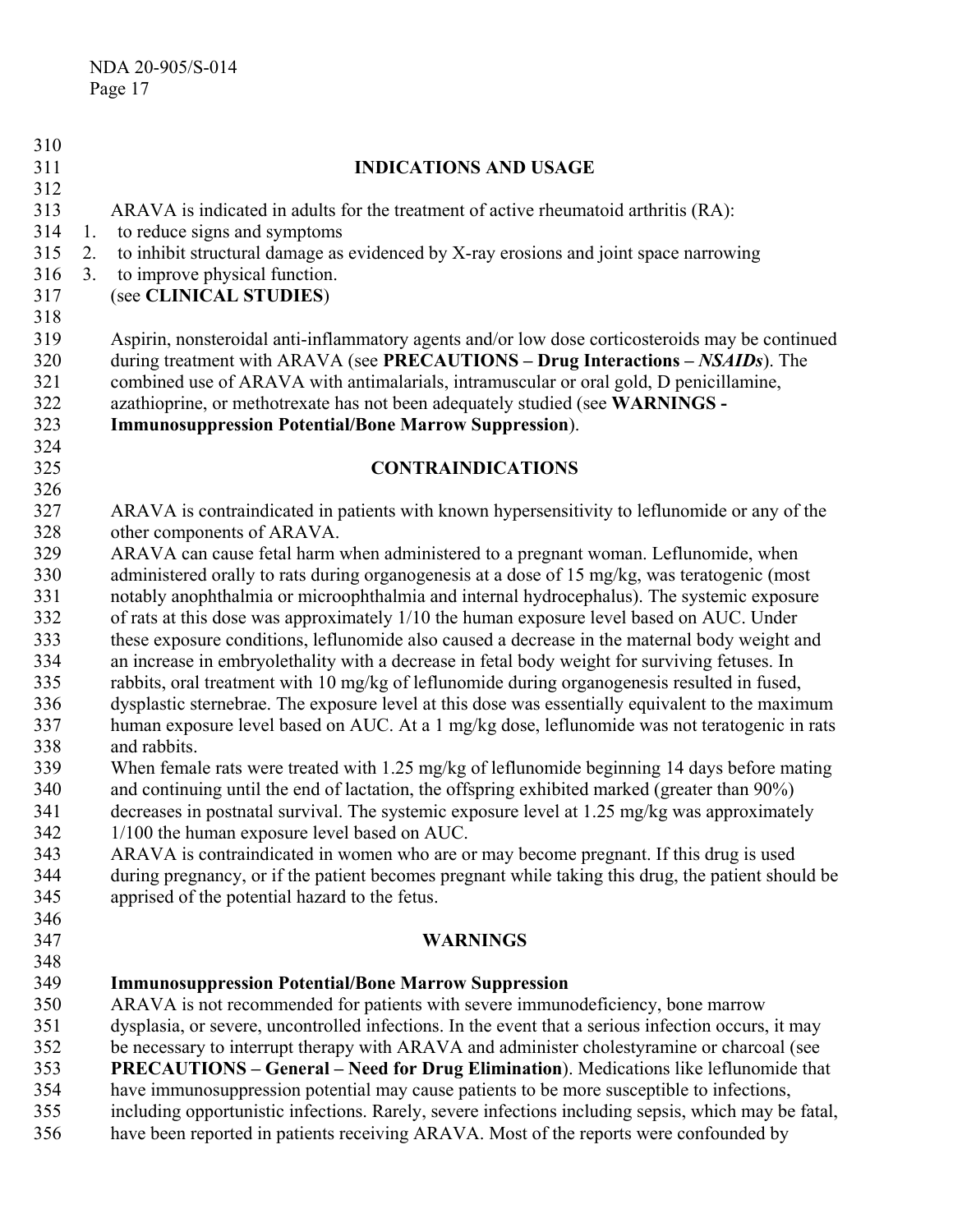| 310 |                |                                                                                                     |
|-----|----------------|-----------------------------------------------------------------------------------------------------|
| 311 |                | <b>INDICATIONS AND USAGE</b>                                                                        |
| 312 |                |                                                                                                     |
| 313 |                | ARAVA is indicated in adults for the treatment of active rheumatoid arthritis (RA):                 |
| 314 | 1.             | to reduce signs and symptoms                                                                        |
| 315 | 2.             | to inhibit structural damage as evidenced by X-ray erosions and joint space narrowing               |
| 316 | 3 <sub>1</sub> | to improve physical function.                                                                       |
| 317 |                | (see CLINICAL STUDIES)                                                                              |
| 318 |                |                                                                                                     |
| 319 |                | Aspirin, nonsteroidal anti-inflammatory agents and/or low dose corticosteroids may be continued     |
| 320 |                | during treatment with ARAVA (see PRECAUTIONS - Drug Interactions - NSAIDs). The                     |
| 321 |                | combined use of ARAVA with antimalarials, intramuscular or oral gold, D penicillamine,              |
| 322 |                | azathioprine, or methotrexate has not been adequately studied (see WARNINGS -                       |
| 323 |                | <b>Immunosuppression Potential/Bone Marrow Suppression).</b>                                        |
| 324 |                |                                                                                                     |
| 325 |                | <b>CONTRAINDICATIONS</b>                                                                            |
| 326 |                |                                                                                                     |
| 327 |                | ARAVA is contraindicated in patients with known hypersensitivity to leflunomide or any of the       |
| 328 |                | other components of ARAVA.                                                                          |
| 329 |                | ARAVA can cause fetal harm when administered to a pregnant woman. Leflunomide, when                 |
| 330 |                | administered orally to rats during organogenesis at a dose of 15 mg/kg, was teratogenic (most       |
| 331 |                | notably anophthalmia or microophthalmia and internal hydrocephalus). The systemic exposure          |
| 332 |                | of rats at this dose was approximately 1/10 the human exposure level based on AUC. Under            |
| 333 |                | these exposure conditions, leflunomide also caused a decrease in the maternal body weight and       |
| 334 |                | an increase in embryolethality with a decrease in fetal body weight for surviving fetuses. In       |
| 335 |                | rabbits, oral treatment with 10 mg/kg of leflunomide during organogenesis resulted in fused,        |
| 336 |                | dysplastic sternebrae. The exposure level at this dose was essentially equivalent to the maximum    |
| 337 |                | human exposure level based on AUC. At a 1 mg/kg dose, leflunomide was not teratogenic in rats       |
| 338 |                | and rabbits.                                                                                        |
| 339 |                | When female rats were treated with 1.25 mg/kg of leflunomide beginning 14 days before mating        |
| 340 |                | and continuing until the end of lactation, the offspring exhibited marked (greater than 90%)        |
| 341 |                | decreases in postnatal survival. The systemic exposure level at 1.25 mg/kg was approximately        |
| 342 |                | 1/100 the human exposure level based on AUC.                                                        |
| 343 |                | ARAVA is contraindicated in women who are or may become pregnant. If this drug is used              |
| 344 |                | during pregnancy, or if the patient becomes pregnant while taking this drug, the patient should be  |
| 345 |                | apprised of the potential hazard to the fetus.                                                      |
| 346 |                |                                                                                                     |
| 347 |                | <b>WARNINGS</b>                                                                                     |
| 348 |                |                                                                                                     |
| 349 |                | <b>Immunosuppression Potential/Bone Marrow Suppression</b>                                          |
| 350 |                | ARAVA is not recommended for patients with severe immunodeficiency, bone marrow                     |
| 351 |                | dysplasia, or severe, uncontrolled infections. In the event that a serious infection occurs, it may |
| 352 |                | be necessary to interrupt therapy with ARAVA and administer cholestyramine or charcoal (see         |
| 353 |                | PRECAUTIONS - General - Need for Drug Elimination). Medications like leflunomide that               |
| 354 |                | have immunosuppression potential may cause patients to be more susceptible to infections,           |
| 355 |                | including opportunistic infections. Rarely, severe infections including sepsis, which may be fatal, |
| 356 |                | have been reported in patients receiving ARAVA. Most of the reports were confounded by              |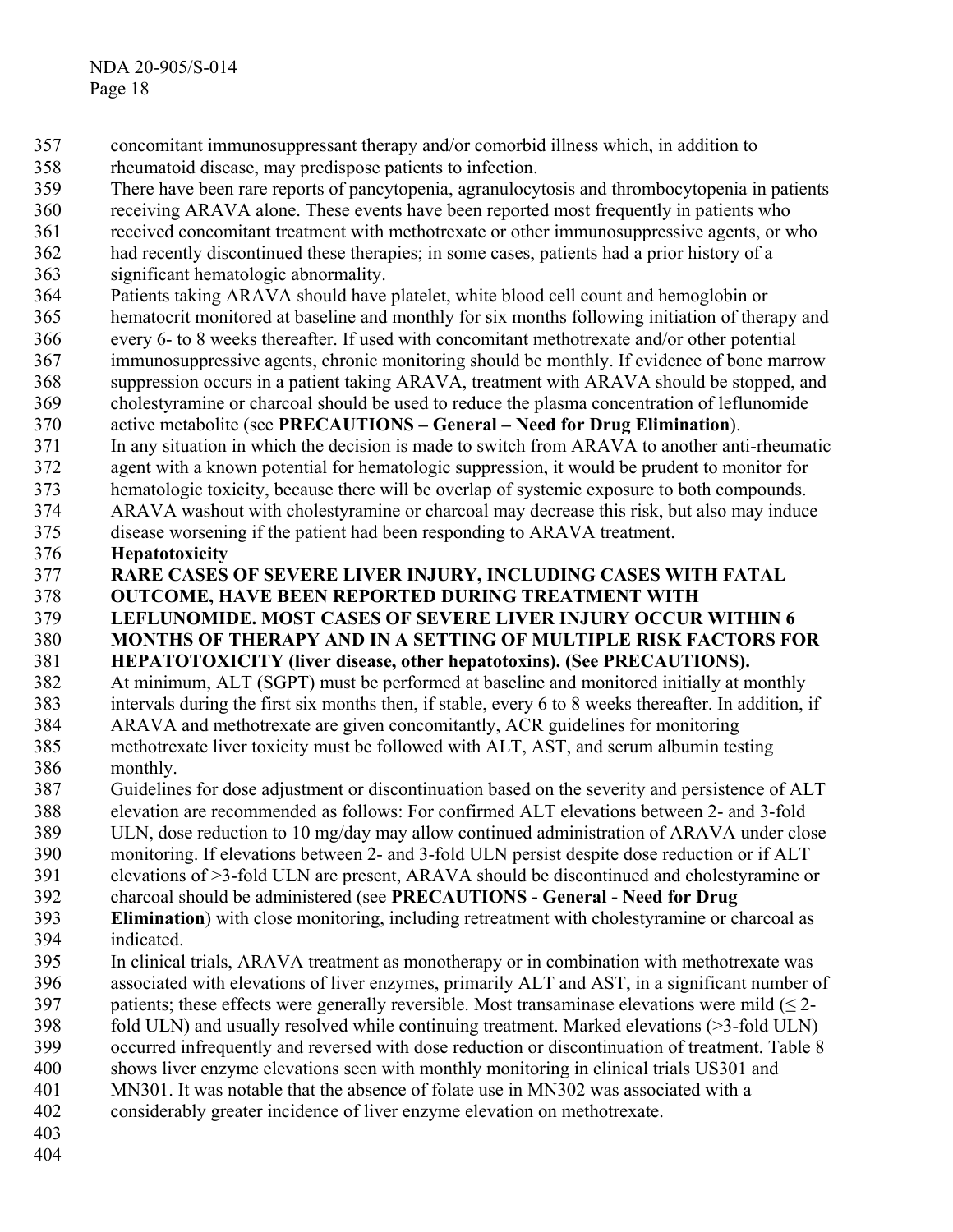- concomitant immunosuppressant therapy and/or comorbid illness which, in addition to 357
- rheumatoid disease, may predispose patients to infection. 358
- 359 There have been rare reports of pancytopenia, agranulocytosis and thrombocytopenia in patients
- 360 receiving ARAVA alone. These events have been reported most frequently in patients who
- 361 received concomitant treatment with methotrexate or other immunosuppressive agents, or who
- 362 had recently discontinued these therapies; in some cases, patients had a prior history of a
- 363 significant hematologic abnormality.
- 364 Patients taking ARAVA should have platelet, white blood cell count and hemoglobin or
- 365 366 hematocrit monitored at baseline and monthly for six months following initiation of therapy and every 6- to 8 weeks thereafter. If used with concomitant methotrexate and/or other potential
- 367 immunosuppressive agents, chronic monitoring should be monthly. If evidence of bone marrow
- 368 suppression occurs in a patient taking ARAVA, treatment with ARAVA should be stopped, and
- 369 cholestyramine or charcoal should be used to reduce the plasma concentration of leflunomide
- 370 active metabolite (see **PRECAUTIONS – General – Need for Drug Elimination**).
- 371 In any situation in which the decision is made to switch from ARAVA to another anti-rheumatic
- 372 373 agent with a known potential for hematologic suppression, it would be prudent to monitor for hematologic toxicity, because there will be overlap of systemic exposure to both compounds.
- 374 ARAVA washout with cholestyramine or charcoal may decrease this risk, but also may induce
- 375 disease worsening if the patient had been responding to ARAVA treatment.

#### 376 **Hepatotoxicity**

- 377 **RARE CASES OF SEVERE LIVER INJURY, INCLUDING CASES WITH FATAL**
- 378 **OUTCOME, HAVE BEEN REPORTED DURING TREATMENT WITH**
- 379 **LEFLUNOMIDE. MOST CASES OF SEVERE LIVER INJURY OCCUR WITHIN 6**
- 380 **MONTHS OF THERAPY AND IN A SETTING OF MULTIPLE RISK FACTORS FOR**
- 381 **HEPATOTOXICITY (liver disease, other hepatotoxins). (See PRECAUTIONS).**
- 382 383 384 At minimum, ALT (SGPT) must be performed at baseline and monitored initially at monthly intervals during the first six months then, if stable, every 6 to 8 weeks thereafter. In addition, if ARAVA and methotrexate are given concomitantly, ACR guidelines for monitoring
- 385 386 methotrexate liver toxicity must be followed with ALT, AST, and serum albumin testing monthly.
- 387 Guidelines for dose adjustment or discontinuation based on the severity and persistence of ALT
- 388 389 elevation are recommended as follows: For confirmed ALT elevations between 2- and 3-fold ULN, dose reduction to 10 mg/day may allow continued administration of ARAVA under close
- 390 monitoring. If elevations between 2- and 3-fold ULN persist despite dose reduction or if ALT
- 391 elevations of >3-fold ULN are present, ARAVA should be discontinued and cholestyramine or
- 392 charcoal should be administered (see **PRECAUTIONS - General - Need for Drug**
- 393 394 **Elimination**) with close monitoring, including retreatment with cholestyramine or charcoal as indicated.
- 395 396 In clinical trials, ARAVA treatment as monotherapy or in combination with methotrexate was associated with elevations of liver enzymes, primarily ALT and AST, in a significant number of
- 397 patients; these effects were generally reversible. Most transaminase elevations were mild  $(\leq 2$ -
- 398 fold ULN) and usually resolved while continuing treatment. Marked elevations (>3-fold ULN)
- 399 occurred infrequently and reversed with dose reduction or discontinuation of treatment. Table 8
- 400 shows liver enzyme elevations seen with monthly monitoring in clinical trials US301 and
- 401 MN301. It was notable that the absence of folate use in MN302 was associated with a
- 402 considerably greater incidence of liver enzyme elevation on methotrexate.
- 403 404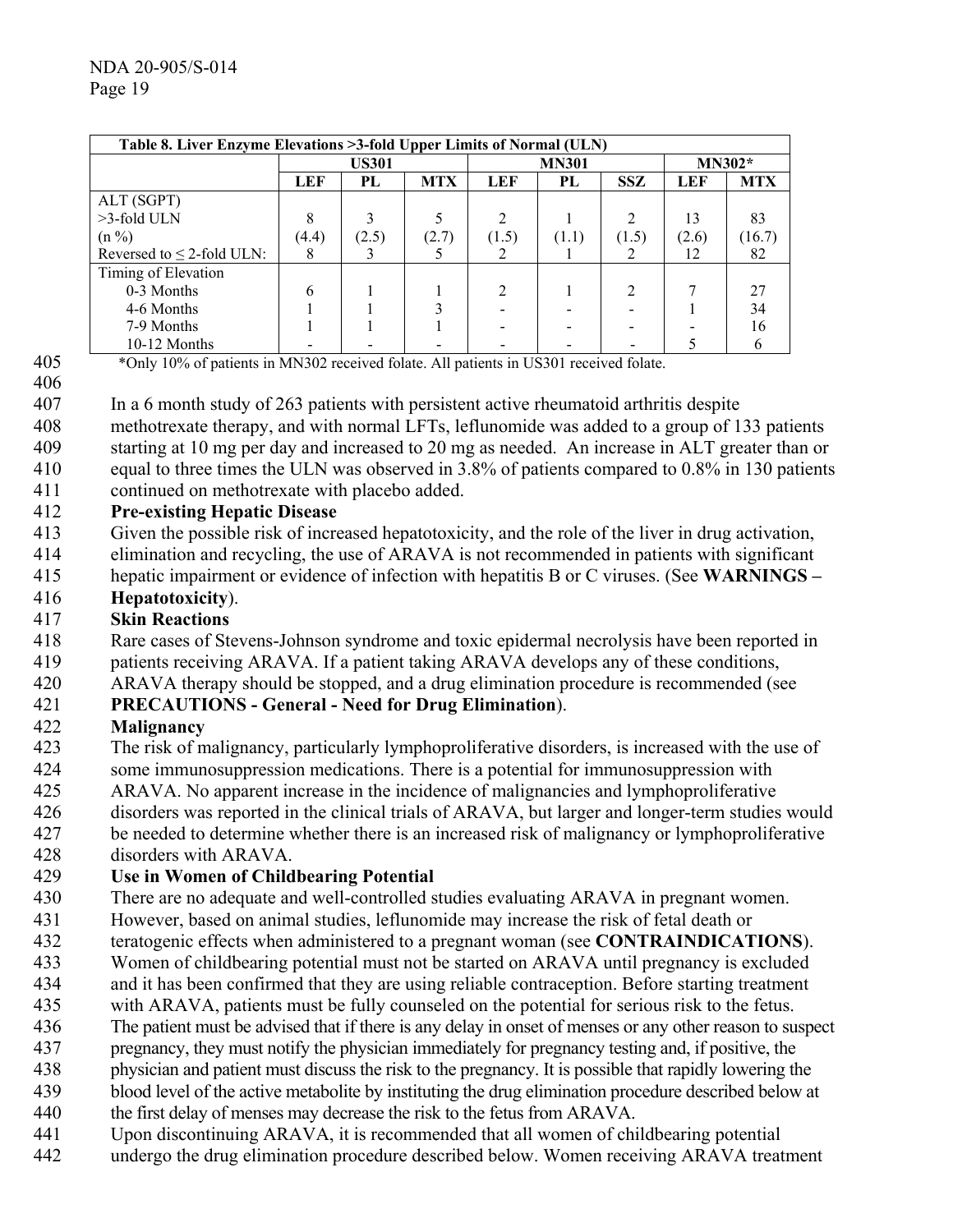| Table 8. Liver Enzyme Elevations >3-fold Upper Limits of Normal (ULN) |       |              |            |       |              |            |            |            |
|-----------------------------------------------------------------------|-------|--------------|------------|-------|--------------|------------|------------|------------|
|                                                                       |       | <b>US301</b> |            |       | <b>MN301</b> | $MN302*$   |            |            |
|                                                                       | LEF   | PL           | <b>MTX</b> | LEF   | PL           | <b>SSZ</b> | <b>LEF</b> | <b>MTX</b> |
| ALT (SGPT)                                                            |       |              |            |       |              |            |            |            |
| >3-fold ULN                                                           |       |              |            |       |              | C          | 13         | 83         |
| $(n\% )$                                                              | (4.4) | (2.5)        | (2.7)      | (1.5) | (1.1)        | (1.5)      | (2.6)      | (16.7)     |
| Reversed to $\leq$ 2-fold ULN:                                        |       |              |            |       |              |            | 12         | 82         |
| Timing of Elevation                                                   |       |              |            |       |              |            |            |            |
| 0-3 Months                                                            | 6     |              |            | ↑     |              | ↑          |            |            |
| 4-6 Months                                                            |       |              |            |       |              |            |            | 34         |
| 7-9 Months                                                            |       |              |            |       |              |            |            | 16         |
| 10-12 Months                                                          |       |              |            |       |              |            |            |            |

405 \*Only 10% of patients in MN302 received folate. All patients in US301 received folate.

406 407

In a 6 month study of 263 patients with persistent active rheumatoid arthritis despite

- 408 409 methotrexate therapy, and with normal LFTs, leflunomide was added to a group of 133 patients starting at 10 mg per day and increased to 20 mg as needed. An increase in ALT greater than or
- 410 411 equal to three times the ULN was observed in 3.8% of patients compared to 0.8% in 130 patients continued on methotrexate with placebo added.

#### 412 **Pre-existing Hepatic Disease**

- 413 Given the possible risk of increased hepatotoxicity, and the role of the liver in drug activation,
- 414 elimination and recycling, the use of ARAVA is not recommended in patients with significant
- 415 hepatic impairment or evidence of infection with hepatitis B or C viruses. (See **WARNINGS –**

#### 416 **Hepatotoxicity**).

#### 417 **Skin Reactions**

- 418 Rare cases of Stevens-Johnson syndrome and toxic epidermal necrolysis have been reported in
- 419 patients receiving ARAVA. If a patient taking ARAVA develops any of these conditions,
- 420 ARAVA therapy should be stopped, and a drug elimination procedure is recommended (see

#### 421 **PRECAUTIONS - General - Need for Drug Elimination**).

#### 422 **Malignancy**

- 423 424 The risk of malignancy, particularly lymphoproliferative disorders, is increased with the use of some immunosuppression medications. There is a potential for immunosuppression with
- 425 ARAVA. No apparent increase in the incidence of malignancies and lymphoproliferative
- 426
- 427 disorders was reported in the clinical trials of ARAVA, but larger and longer-term studies would be needed to determine whether there is an increased risk of malignancy or lymphoproliferative
- 428 disorders with ARAVA.

#### 429 **Use in Women of Childbearing Potential**

- 430 There are no adequate and well-controlled studies evaluating ARAVA in pregnant women.
- 431 However, based on animal studies, leflunomide may increase the risk of fetal death or
- 432 teratogenic effects when administered to a pregnant woman (see **CONTRAINDICATIONS**).
- 433 Women of childbearing potential must not be started on ARAVA until pregnancy is excluded
- 434 and it has been confirmed that they are using reliable contraception. Before starting treatment
- 435 with ARAVA, patients must be fully counseled on the potential for serious risk to the fetus.
- 436 The patient must be advised that if there is any delay in onset of menses or any other reason to suspect
- 437 pregnancy, they must notify the physician immediately for pregnancy testing and, if positive, the
- 438 physician and patient must discuss the risk to the pregnancy. It is possible that rapidly lowering the
- 439 440 blood level of the active metabolite by instituting the drug elimination procedure described below at the first delay of menses may decrease the risk to the fetus from ARAVA.
- 441 Upon discontinuing ARAVA, it is recommended that all women of childbearing potential
- 442 undergo the drug elimination procedure described below. Women receiving ARAVA treatment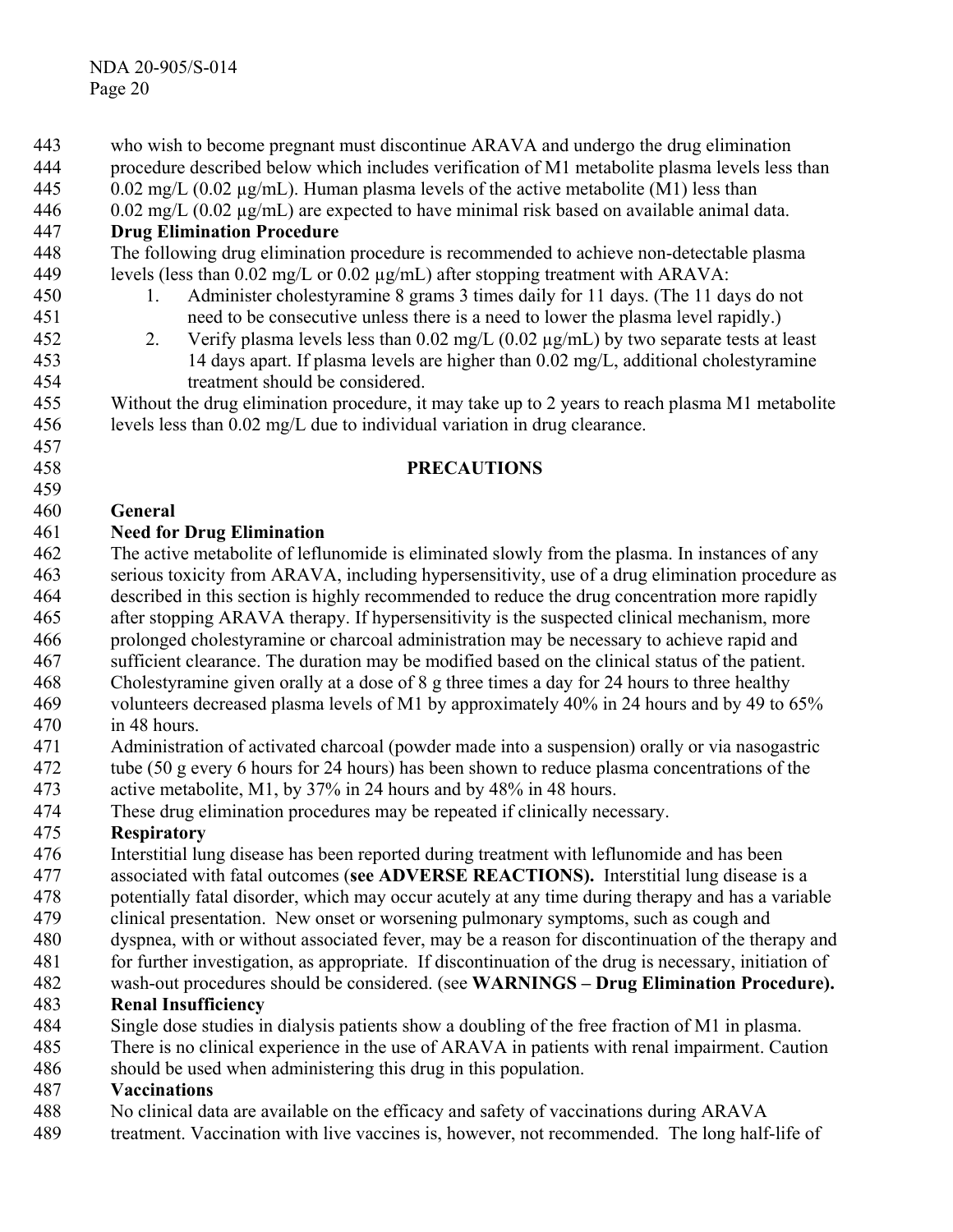procedure described below which includes verification of M1 metabolite plasma levels less than  $0.02 \text{ mg/L } (0.02 \text{ µg/mL})$ . Human plasma levels of the active metabolite (M1) less than 0.02 mg/L (0.02 µg/mL) are expected to have minimal risk based on available animal data. 444 445 446 447 448 449 450 451 452 453 454 455 456 457 458 459 460 461 462 463 464 465 466 467 468 469 470 471 472 473 474 475 476 477 478 479 480 481 482 483 484 485 486 487 488 **Drug Elimination Procedure**  The following drug elimination procedure is recommended to achieve non-detectable plasma levels (less than 0.02 mg/L or 0.02 µg/mL) after stopping treatment with ARAVA: 1. Administer cholestyramine 8 grams 3 times daily for 11 days. (The 11 days do not need to be consecutive unless there is a need to lower the plasma level rapidly.) 2. Verify plasma levels less than  $0.02 \text{ mg/L}$  ( $0.02 \text{ µg/mL}$ ) by two separate tests at least 14 days apart. If plasma levels are higher than 0.02 mg/L, additional cholestyramine treatment should be considered. Without the drug elimination procedure, it may take up to 2 years to reach plasma M1 metabolite levels less than 0.02 mg/L due to individual variation in drug clearance. **PRECAUTIONS General Need for Drug Elimination**  The active metabolite of leflunomide is eliminated slowly from the plasma. In instances of any serious toxicity from ARAVA, including hypersensitivity, use of a drug elimination procedure as described in this section is highly recommended to reduce the drug concentration more rapidly after stopping ARAVA therapy. If hypersensitivity is the suspected clinical mechanism, more prolonged cholestyramine or charcoal administration may be necessary to achieve rapid and sufficient clearance. The duration may be modified based on the clinical status of the patient. Cholestyramine given orally at a dose of 8 g three times a day for 24 hours to three healthy volunteers decreased plasma levels of M1 by approximately 40% in 24 hours and by 49 to 65% in 48 hours. Administration of activated charcoal (powder made into a suspension) orally or via nasogastric tube (50 g every 6 hours for 24 hours) has been shown to reduce plasma concentrations of the active metabolite, M1, by 37% in 24 hours and by 48% in 48 hours. These drug elimination procedures may be repeated if clinically necessary. **Respiratory**  Interstitial lung disease has been reported during treatment with leflunomide and has been associated with fatal outcomes (**see ADVERSE REACTIONS).** Interstitial lung disease is a potentially fatal disorder, which may occur acutely at any time during therapy and has a variable clinical presentation. New onset or worsening pulmonary symptoms, such as cough and dyspnea, with or without associated fever, may be a reason for discontinuation of the therapy and for further investigation, as appropriate. If discontinuation of the drug is necessary, initiation of wash-out procedures should be considered. (see **WARNINGS – Drug Elimination Procedure). Renal Insufficiency**  Single dose studies in dialysis patients show a doubling of the free fraction of M1 in plasma. There is no clinical experience in the use of ARAVA in patients with renal impairment. Caution should be used when administering this drug in this population. **Vaccinations**  No clinical data are available on the efficacy and safety of vaccinations during ARAVA

who wish to become pregnant must discontinue ARAVA and undergo the drug elimination

489 treatment. Vaccination with live vaccines is, however, not recommended. The long half-life of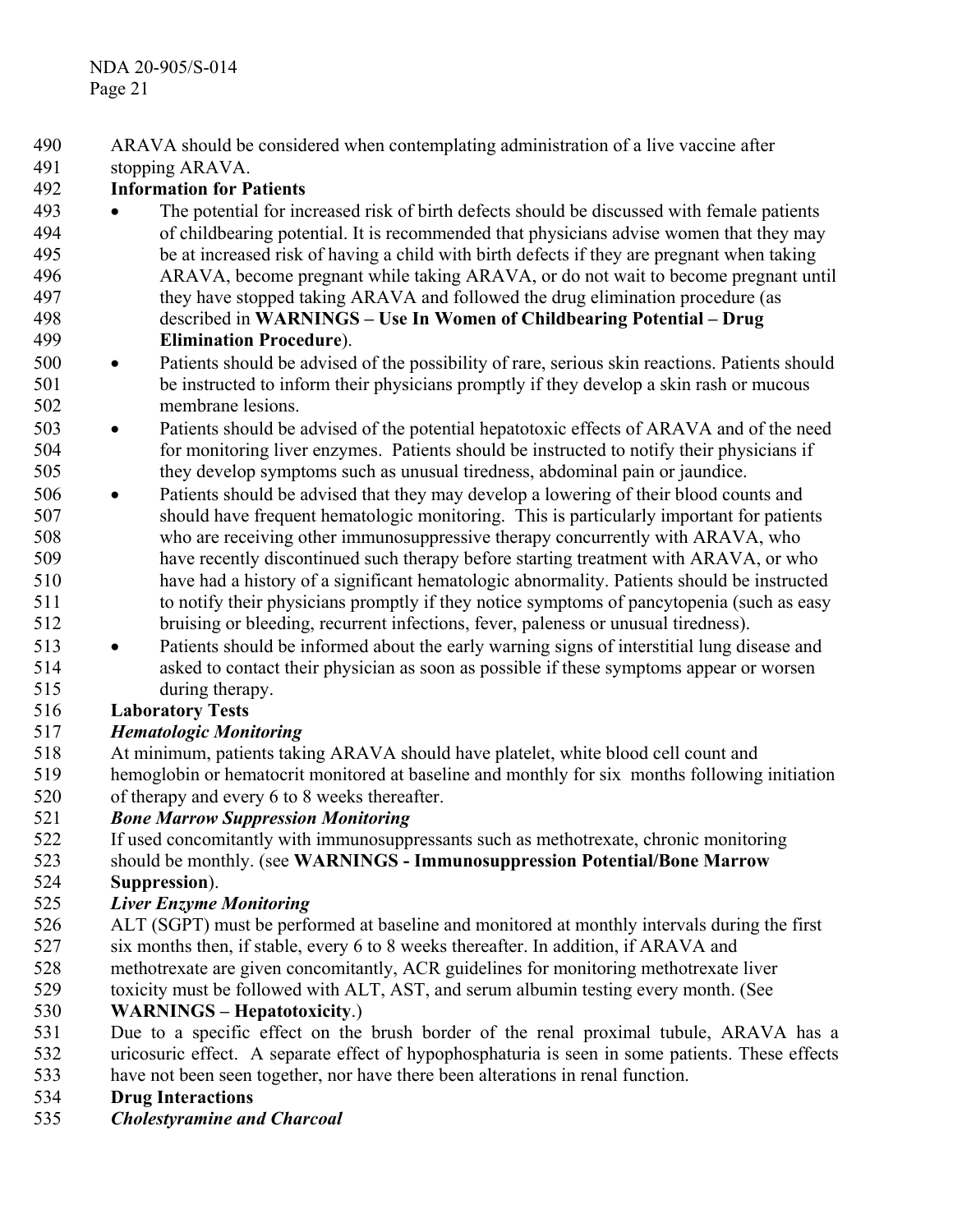- ARAVA should be considered when contemplating administration of a live vaccine after 490
- stopping ARAVA. 491

#### 492 **Information for Patients**

- 493 494 495 496 497 498 499 • The potential for increased risk of birth defects should be discussed with female patients of childbearing potential. It is recommended that physicians advise women that they may be at increased risk of having a child with birth defects if they are pregnant when taking ARAVA, become pregnant while taking ARAVA, or do not wait to become pregnant until they have stopped taking ARAVA and followed the drug elimination procedure (as described in **WARNINGS – Use In Women of Childbearing Potential – Drug Elimination Procedure**).
- 500 501 502 • Patients should be advised of the possibility of rare, serious skin reactions. Patients should be instructed to inform their physicians promptly if they develop a skin rash or mucous membrane lesions.
- 503 504 505 • Patients should be advised of the potential hepatotoxic effects of ARAVA and of the need for monitoring liver enzymes. Patients should be instructed to notify their physicians if they develop symptoms such as unusual tiredness, abdominal pain or jaundice.
- 506 507 508 509 510 511 512 • Patients should be advised that they may develop a lowering of their blood counts and should have frequent hematologic monitoring. This is particularly important for patients who are receiving other immunosuppressive therapy concurrently with ARAVA, who have recently discontinued such therapy before starting treatment with ARAVA, or who have had a history of a significant hematologic abnormality. Patients should be instructed to notify their physicians promptly if they notice symptoms of pancytopenia (such as easy bruising or bleeding, recurrent infections, fever, paleness or unusual tiredness).
- 513 514 515 • Patients should be informed about the early warning signs of interstitial lung disease and asked to contact their physician as soon as possible if these symptoms appear or worsen during therapy.

#### 516 **Laboratory Tests**

#### 517 *Hematologic Monitoring*

- 518 519 At minimum, patients taking ARAVA should have platelet, white blood cell count and hemoglobin or hematocrit monitored at baseline and monthly for six months following initiation
- 520 of therapy and every 6 to 8 weeks thereafter.

#### 521 *Bone Marrow Suppression Monitoring*

- 522 If used concomitantly with immunosuppressants such as methotrexate, chronic monitoring
- 523 524 should be monthly. (see **WARNINGS - Immunosuppression Potential/Bone Marrow Suppression**).
- 

#### 525 *Liver Enzyme Monitoring*

- 526 ALT (SGPT) must be performed at baseline and monitored at monthly intervals during the first
- 527 six months then, if stable, every 6 to 8 weeks thereafter. In addition, if ARAVA and
- 528 methotrexate are given concomitantly, ACR guidelines for monitoring methotrexate liver
- 529 toxicity must be followed with ALT, AST, and serum albumin testing every month. (See

#### 530 **WARNINGS – Hepatotoxicity**.)

- 531 532 533 Due to a specific effect on the brush border of the renal proximal tubule, ARAVA has a uricosuric effect. A separate effect of hypophosphaturia is seen in some patients. These effects have not been seen together, nor have there been alterations in renal function.
- 534 **Drug Interactions**
- 535 *Cholestyramine and Charcoal*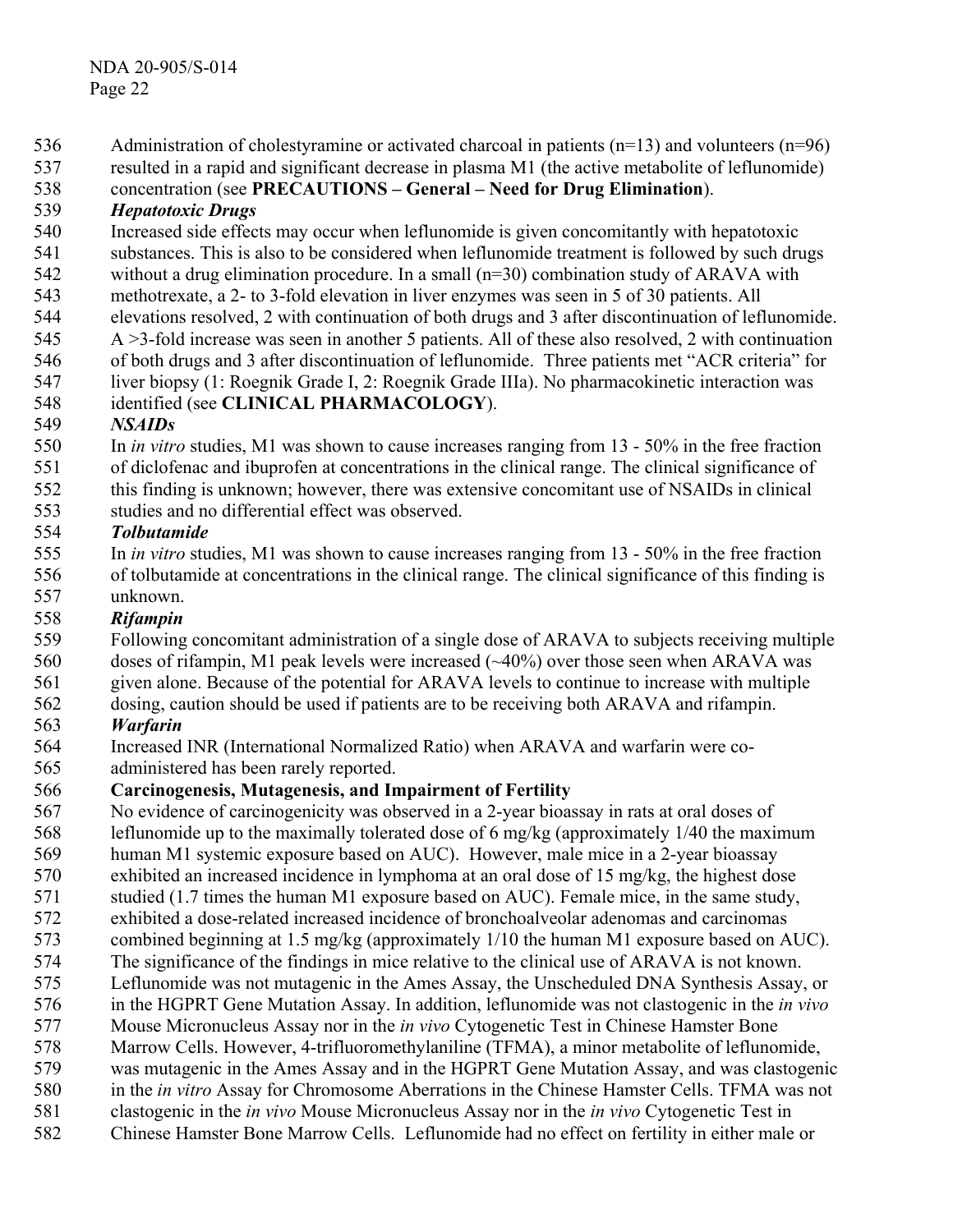- Administration of cholestyramine or activated charcoal in patients  $(n=13)$  and volunteers  $(n=96)$ 536
- resulted in a rapid and significant decrease in plasma M1 (the active metabolite of leflunomide) 537
- concentration (see **PRECAUTIONS General Need for Drug Elimination**). 538

#### 539 *Hepatotoxic Drugs*

- 540 Increased side effects may occur when leflunomide is given concomitantly with hepatotoxic
- 541 substances. This is also to be considered when leflunomide treatment is followed by such drugs
- 542 without a drug elimination procedure. In a small (n=30) combination study of ARAVA with
- 543 methotrexate, a 2- to 3-fold elevation in liver enzymes was seen in 5 of 30 patients. All
- 544 elevations resolved, 2 with continuation of both drugs and 3 after discontinuation of leflunomide.
- 545 A >3-fold increase was seen in another 5 patients. All of these also resolved, 2 with continuation
- 546 of both drugs and 3 after discontinuation of leflunomide. Three patients met "ACR criteria" for
- 547 548 liver biopsy (1: Roegnik Grade I, 2: Roegnik Grade IIIa). No pharmacokinetic interaction was identified (see **CLINICAL PHARMACOLOGY**).

#### 549 *NSAIDs*

- 550 551 In *in vitro* studies, M1 was shown to cause increases ranging from 13 - 50% in the free fraction of diclofenac and ibuprofen at concentrations in the clinical range. The clinical significance of
- 552 this finding is unknown; however, there was extensive concomitant use of NSAIDs in clinical
- 553 studies and no differential effect was observed.

#### 554 *Tolbutamide*

555 556 557 In *in vitro* studies, M1 was shown to cause increases ranging from 13 - 50% in the free fraction of tolbutamide at concentrations in the clinical range. The clinical significance of this finding is unknown.

#### 558 *Rifampin*

- 559 Following concomitant administration of a single dose of ARAVA to subjects receiving multiple
- 560 doses of rifampin, M1 peak levels were increased (~40%) over those seen when ARAVA was
- 561 given alone. Because of the potential for ARAVA levels to continue to increase with multiple
- 562 dosing, caution should be used if patients are to be receiving both ARAVA and rifampin.

#### 563 *Warfarin*

- 564 Increased INR (International Normalized Ratio) when ARAVA and warfarin were co-
- 565 administered has been rarely reported.

#### 566 **Carcinogenesis, Mutagenesis, and Impairment of Fertility**

- 567 568 No evidence of carcinogenicity was observed in a 2-year bioassay in rats at oral doses of leflunomide up to the maximally tolerated dose of 6 mg/kg (approximately 1/40 the maximum
- 569 human M1 systemic exposure based on AUC). However, male mice in a 2-year bioassay
- 570 exhibited an increased incidence in lymphoma at an oral dose of 15 mg/kg, the highest dose
- 571 studied (1.7 times the human M1 exposure based on AUC). Female mice, in the same study,
- 572 exhibited a dose-related increased incidence of bronchoalveolar adenomas and carcinomas
- 573 combined beginning at 1.5 mg/kg (approximately 1/10 the human M1 exposure based on AUC).
- 574 575 The significance of the findings in mice relative to the clinical use of ARAVA is not known. Leflunomide was not mutagenic in the Ames Assay, the Unscheduled DNA Synthesis Assay, or
- 576 in the HGPRT Gene Mutation Assay. In addition, leflunomide was not clastogenic in the *in vivo*
- 577 Mouse Micronucleus Assay nor in the *in vivo* Cytogenetic Test in Chinese Hamster Bone
- 578 Marrow Cells. However, 4-trifluoromethylaniline (TFMA), a minor metabolite of leflunomide,
- 579 was mutagenic in the Ames Assay and in the HGPRT Gene Mutation Assay, and was clastogenic
- 580 in the *in vitro* Assay for Chromosome Aberrations in the Chinese Hamster Cells. TFMA was not
- 581 clastogenic in the *in vivo* Mouse Micronucleus Assay nor in the *in vivo* Cytogenetic Test in
- 582 Chinese Hamster Bone Marrow Cells. Leflunomide had no effect on fertility in either male or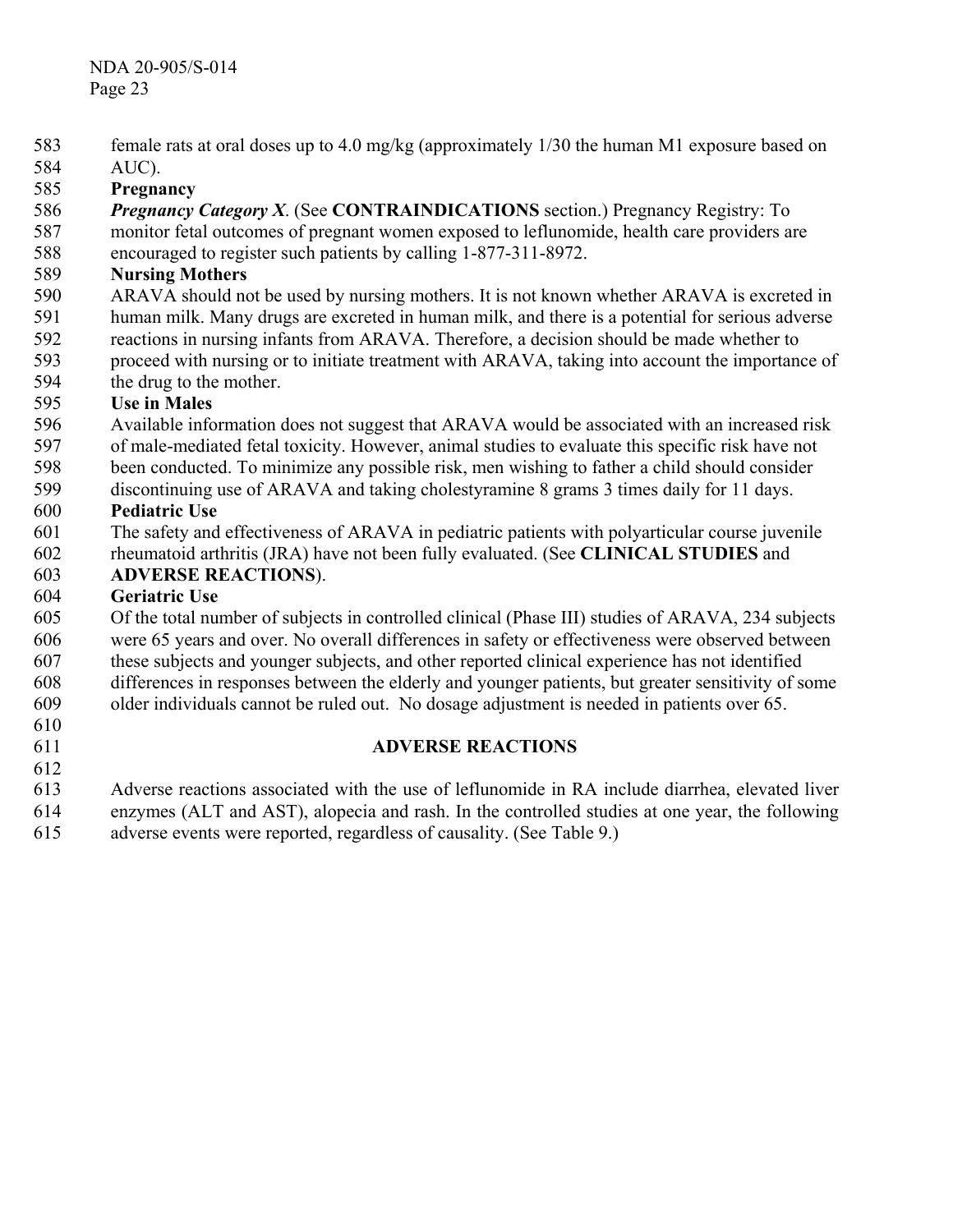- female rats at oral doses up to 4.0 mg/kg (approximately 1/30 the human M1 exposure based on 583
- AUC). 584
- 585 **Pregnancy**
- 586 *Pregnancy Category X*. (See **CONTRAINDICATIONS** section.) Pregnancy Registry: To
- 587 monitor fetal outcomes of pregnant women exposed to leflunomide, health care providers are
- 588 encouraged to register such patients by calling 1-877-311-8972.

#### 589 **Nursing Mothers**

- 590 ARAVA should not be used by nursing mothers. It is not known whether ARAVA is excreted in
- 591 human milk. Many drugs are excreted in human milk, and there is a potential for serious adverse
- 592 reactions in nursing infants from ARAVA. Therefore, a decision should be made whether to
- 593 proceed with nursing or to initiate treatment with ARAVA, taking into account the importance of
- 594 the drug to the mother.

#### 595 **Use in Males**

- 596 Available information does not suggest that ARAVA would be associated with an increased risk
- 597 of male-mediated fetal toxicity. However, animal studies to evaluate this specific risk have not
- 598 been conducted. To minimize any possible risk, men wishing to father a child should consider
- 599 discontinuing use of ARAVA and taking cholestyramine 8 grams 3 times daily for 11 days.

#### 600 **Pediatric Use**

- 601 The safety and effectiveness of ARAVA in pediatric patients with polyarticular course juvenile
- 602 603 rheumatoid arthritis (JRA) have not been fully evaluated. (See **CLINICAL STUDIES** and **ADVERSE REACTIONS**).

### 604 **Geriatric Use**

- 605 Of the total number of subjects in controlled clinical (Phase III) studies of ARAVA, 234 subjects
- 606 were 65 years and over. No overall differences in safety or effectiveness were observed between
- 607 these subjects and younger subjects, and other reported clinical experience has not identified
- 608 differences in responses between the elderly and younger patients, but greater sensitivity of some
- 609 older individuals cannot be ruled out. No dosage adjustment is needed in patients over 65.
- 610

### 611 612

# **ADVERSE REACTIONS**

- 613 614 Adverse reactions associated with the use of leflunomide in RA include diarrhea, elevated liver enzymes (ALT and AST), alopecia and rash. In the controlled studies at one year, the following
- 615 adverse events were reported, regardless of causality. (See Table 9.)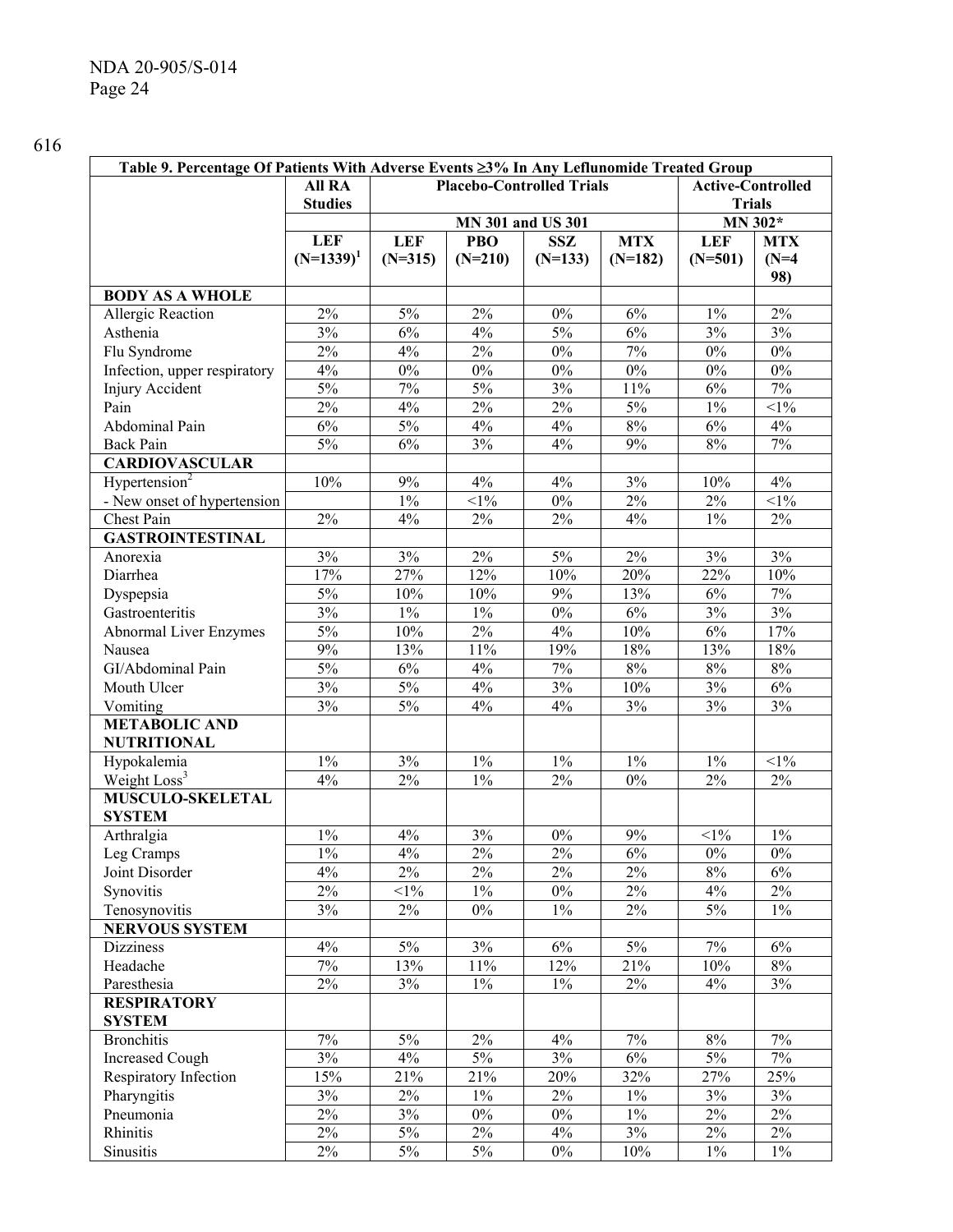| Table 9. Percentage Of Patients With Adverse Events ≥3% In Any Leflunomide Treated Group |                                                                               |            |            |                   |            |               |            |
|------------------------------------------------------------------------------------------|-------------------------------------------------------------------------------|------------|------------|-------------------|------------|---------------|------------|
|                                                                                          | <b>All RA</b><br><b>Placebo-Controlled Trials</b><br><b>Active-Controlled</b> |            |            |                   |            |               |            |
|                                                                                          | <b>Studies</b>                                                                |            |            |                   |            | <b>Trials</b> |            |
|                                                                                          |                                                                               |            |            | MN 301 and US 301 |            |               | MN 302*    |
|                                                                                          | <b>LEF</b>                                                                    | <b>LEF</b> | <b>PBO</b> | <b>SSZ</b>        | <b>MTX</b> | <b>LEF</b>    | <b>MTX</b> |
|                                                                                          | $(N=1339)^1$                                                                  | $(N=315)$  | $(N=210)$  | $(N=133)$         | $(N=182)$  | $(N=501)$     | $(N=4)$    |
|                                                                                          |                                                                               |            |            |                   |            |               | 98)        |
| <b>BODY AS A WHOLE</b>                                                                   |                                                                               |            |            |                   |            |               |            |
| Allergic Reaction                                                                        | 2%                                                                            | $5\%$      | 2%         | $0\%$             | $6\%$      | $1\%$         | $2\%$      |
| Asthenia                                                                                 | 3%                                                                            | 6%         | 4%         | 5%                | 6%         | 3%            | 3%         |
| Flu Syndrome                                                                             | $2\%$                                                                         | 4%         | $2\%$      | $0\%$             | $7\%$      | $0\%$         | $0\%$      |
| Infection, upper respiratory                                                             | 4%                                                                            | $0\%$      | $0\%$      | $0\%$             | $0\%$      | $0\%$         | $0\%$      |
| Injury Accident                                                                          | 5%                                                                            | $7\%$      | $5\%$      | 3%                | $11\%$     | $6\%$         | $7\%$      |
| Pain                                                                                     | 2%                                                                            | 4%         | $2\%$      | $2\%$             | $5\%$      | $1\%$         | $<1\%$     |
| Abdominal Pain                                                                           | 6%                                                                            | $5\%$      | $4\%$      | 4%                | $8\%$      | $6\%$         | 4%         |
| <b>Back Pain</b>                                                                         | 5%                                                                            | 6%         | 3%         | 4%                | 9%         | $8\%$         | $7\%$      |
| <b>CARDIOVASCULAR</b>                                                                    |                                                                               |            |            |                   |            |               |            |
| Hypertension <sup>2</sup>                                                                | 10%                                                                           | 9%         | 4%         | 4%                | 3%         | 10%           | 4%         |
| - New onset of hypertension                                                              |                                                                               | $1\%$      | $<1\%$     | $0\%$             | $2\%$      | $2\%$         | $<1\%$     |
| Chest Pain                                                                               | 2%                                                                            | 4%         | 2%         | $2\%$             | 4%         | $1\%$         | $2\%$      |
| <b>GASTROINTESTINAL</b>                                                                  |                                                                               |            |            |                   |            |               |            |
| Anorexia                                                                                 | 3%                                                                            | $3\%$      | $2\%$      | $5\%$             | $2\%$      | 3%            | 3%         |
| Diarrhea                                                                                 | 17%                                                                           | 27%        | 12%        | 10%               | 20%        | 22%           | 10%        |
| Dyspepsia                                                                                | $5\%$                                                                         | 10%        | $10\%$     | 9%                | 13%        | $6\%$         | $7\%$      |
| Gastroenteritis                                                                          | 3%                                                                            | $1\%$      | $1\%$      | $0\%$             | 6%         | 3%            | 3%         |
| Abnormal Liver Enzymes                                                                   | 5%                                                                            | 10%        | $2\%$      | $4\%$             | 10%        | $6\%$         | 17%        |
| Nausea                                                                                   | 9%                                                                            | 13%        | $11\%$     | 19%               | 18%        | 13%           | 18%        |
| GI/Abdominal Pain                                                                        | 5%                                                                            | 6%         | $4\%$      | $7\%$             | 8%         | $8\%$         | $8\%$      |
| Mouth Ulcer                                                                              | 3%                                                                            | 5%         | $4\%$      | 3%                | 10%        | 3%            | 6%         |
| Vomiting                                                                                 | 3%                                                                            | 5%         | 4%         | 4%                | 3%         | 3%            | 3%         |
| <b>METABOLIC AND</b>                                                                     |                                                                               |            |            |                   |            |               |            |
| <b>NUTRITIONAL</b>                                                                       |                                                                               |            |            |                   |            |               |            |
| Hypokalemia                                                                              | $1\%$                                                                         | $3\%$      | $1\%$      | $1\%$             | $1\%$      | $1\%$         | $<1\%$     |
| Weight Loss <sup>3</sup><br><b>MUSCULO-SKELETAL</b>                                      | 4%                                                                            | $2\%$      | $1\%$      | $2\%$             | $0\%$      | $2\%$         | $2\%$      |
|                                                                                          |                                                                               |            |            |                   |            |               |            |
| <b>SYSTEM</b>                                                                            |                                                                               |            |            |                   | 9%         |               | $1\%$      |
| Arthralgia                                                                               | $1\%$                                                                         | $4\%$      | 3%         | $0\%$             |            | $<$ 1%        |            |
| Leg Cramps                                                                               | $1\%$                                                                         | $4\%$      | 2%         | 2%                | 6%         | $0\%$         | $0\%$      |
| Joint Disorder                                                                           | 4%                                                                            | $2\%$      | 2%         | $2\%$             | $2\%$      | $8\%$         | 6%         |
| Synovitis                                                                                | 2%                                                                            | $<1\%$     | $1\%$      | $0\%$             | $2\%$      | $4\%$         | $2\%$      |
| Tenosynovitis                                                                            | 3%                                                                            | $2\%$      | $0\%$      | $1\%$             | $2\%$      | $5\%$         | $1\%$      |
| <b>NERVOUS SYSTEM</b>                                                                    |                                                                               |            |            |                   |            |               |            |
| <b>Dizziness</b>                                                                         | 4%                                                                            | $5\%$      | 3%         | 6%                | $5\%$      | $7\%$         | 6%         |
| Headache                                                                                 | $7\%$                                                                         | 13%        | $11\%$     | 12%               | 21%        | 10%           | 8%         |
| Paresthesia                                                                              | $2\%$                                                                         | 3%         | $1\%$      | $1\%$             | $2\%$      | 4%            | 3%         |
| <b>RESPIRATORY</b><br><b>SYSTEM</b>                                                      |                                                                               |            |            |                   |            |               |            |
| <b>Bronchitis</b>                                                                        | 7%                                                                            | 5%         | 2%         | 4%                | 7%         | $8\%$         | 7%         |
| <b>Increased Cough</b>                                                                   | 3%                                                                            | 4%         | $5\%$      | $3\%$             | $6\%$      | $5\%$         | $7\%$      |
| Respiratory Infection                                                                    | 15%                                                                           | 21%        | 21%        | 20%               | 32%        | 27%           | 25%        |
| Pharyngitis                                                                              | 3%                                                                            | $2\%$      | $1\%$      | $2\%$             | $1\%$      | 3%            | 3%         |
| Pneumonia                                                                                | $2\%$                                                                         | 3%         | $0\%$      | $0\%$             | $1\%$      | $2\%$         | $2\%$      |
| Rhinitis                                                                                 | $2\%$                                                                         | $5\%$      | $2\%$      | $4\%$             | 3%         | $2\%$         | $2\%$      |
| Sinusitis                                                                                | $2\%$                                                                         | $5\%$      | $5\%$      | $0\%$             | 10%        | $1\%$         | $1\%$      |
|                                                                                          |                                                                               |            |            |                   |            |               |            |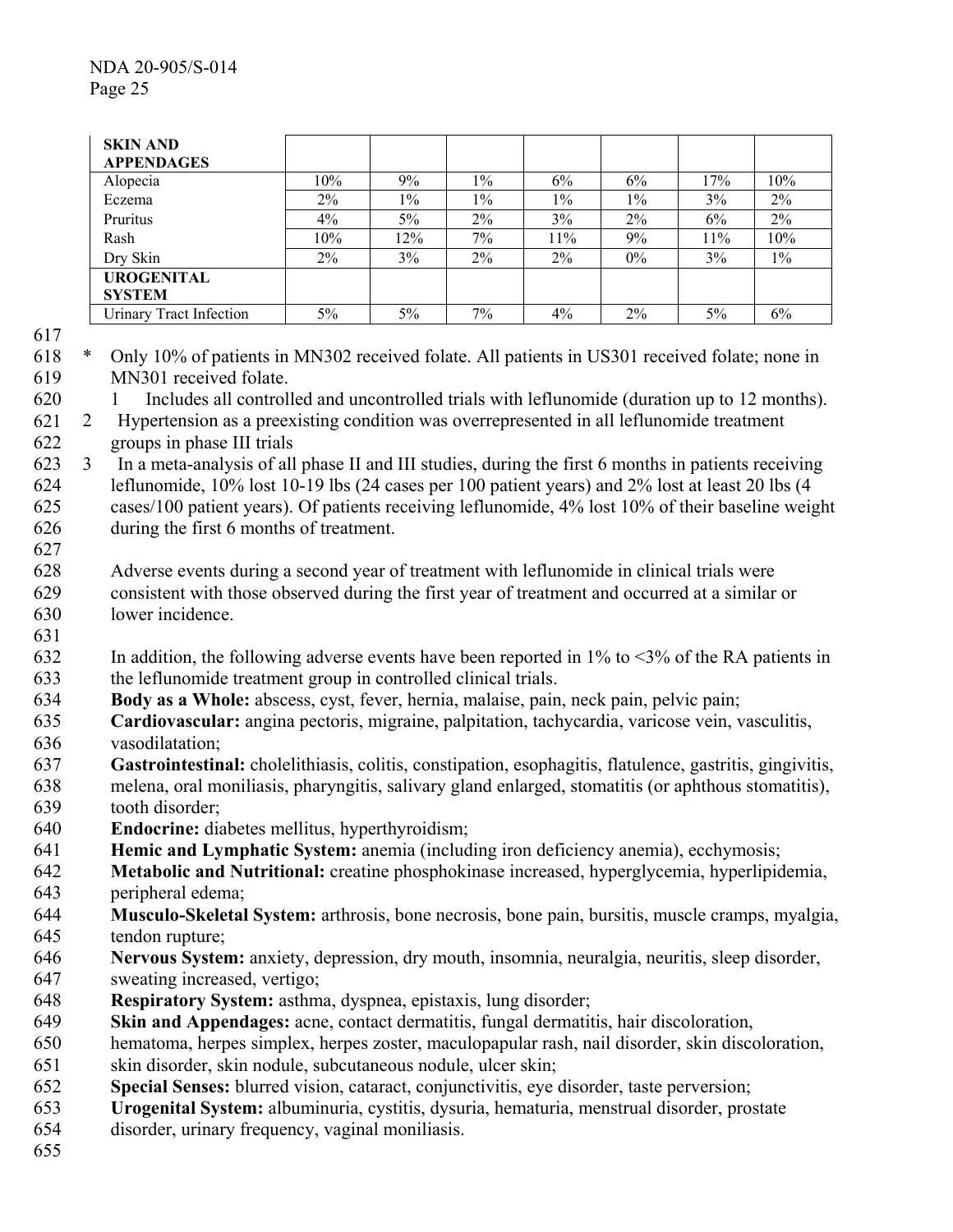| <b>SKIN AND</b><br><b>APPENDAGES</b> |       |       |       |       |       |     |       |
|--------------------------------------|-------|-------|-------|-------|-------|-----|-------|
| Alopecia                             | 10%   | 9%    | $1\%$ | 6%    | 6%    | 17% | 10%   |
| Eczema                               | $2\%$ | $1\%$ | $1\%$ | $1\%$ | $1\%$ | 3%  | 2%    |
| Pruritus                             | $4\%$ | $5\%$ | $2\%$ | 3%    | 2%    | 6%  | 2%    |
| Rash                                 | 10%   | 12%   | 7%    | 11%   | 9%    | 11% | 10%   |
| Dry Skin                             | $2\%$ | $3\%$ | $2\%$ | $2\%$ | $0\%$ | 3%  | $1\%$ |
| <b>UROGENITAL</b>                    |       |       |       |       |       |     |       |
| <b>SYSTEM</b>                        |       |       |       |       |       |     |       |
| <b>Urinary Tract Infection</b>       | 5%    | $5\%$ | 7%    | $4\%$ | $2\%$ | 5%  | 6%    |

620

- 618 619 \* Only 10% of patients in MN302 received folate. All patients in US301 received folate; none in MN301 received folate.
	- 1 Includes all controlled and uncontrolled trials with leflunomide (duration up to 12 months).
- 621 622 2 Hypertension as a preexisting condition was overrepresented in all leflunomide treatment groups in phase III trials
- 623 624 625 626 3 In a meta-analysis of all phase II and III studies, during the first 6 months in patients receiving leflunomide, 10% lost 10-19 lbs (24 cases per 100 patient years) and 2% lost at least 20 lbs (4 cases/100 patient years). Of patients receiving leflunomide, 4% lost 10% of their baseline weight during the first 6 months of treatment.
- 627
- 628 629 Adverse events during a second year of treatment with leflunomide in clinical trials were consistent with those observed during the first year of treatment and occurred at a similar or
- 630 631 lower incidence.
- 632 633 In addition, the following adverse events have been reported in  $1\%$  to  $\leq 3\%$  of the RA patients in the leflunomide treatment group in controlled clinical trials.
- 634 **Body as a Whole:** abscess, cyst, fever, hernia, malaise, pain, neck pain, pelvic pain;
- 635 636 **Cardiovascular:** angina pectoris, migraine, palpitation, tachycardia, varicose vein, vasculitis, vasodilatation;
- 637 **Gastrointestinal:** cholelithiasis, colitis, constipation, esophagitis, flatulence, gastritis, gingivitis,
- 638 639 melena, oral moniliasis, pharyngitis, salivary gland enlarged, stomatitis (or aphthous stomatitis), tooth disorder;
- 640 **Endocrine:** diabetes mellitus, hyperthyroidism;
- 641 **Hemic and Lymphatic System:** anemia (including iron deficiency anemia), ecchymosis;
- 642 643 **Metabolic and Nutritional:** creatine phosphokinase increased, hyperglycemia, hyperlipidemia, peripheral edema;
- 644 645 **Musculo-Skeletal System:** arthrosis, bone necrosis, bone pain, bursitis, muscle cramps, myalgia, tendon rupture;
- 646 **Nervous System:** anxiety, depression, dry mouth, insomnia, neuralgia, neuritis, sleep disorder,
- 647 sweating increased, vertigo;
- 648 **Respiratory System:** asthma, dyspnea, epistaxis, lung disorder;
- 649 **Skin and Appendages:** acne, contact dermatitis, fungal dermatitis, hair discoloration,
- 650 hematoma, herpes simplex, herpes zoster, maculopapular rash, nail disorder, skin discoloration,
- 651 skin disorder, skin nodule, subcutaneous nodule, ulcer skin;
- 652 **Special Senses:** blurred vision, cataract, conjunctivitis, eye disorder, taste perversion;
- 653 **Urogenital System:** albuminuria, cystitis, dysuria, hematuria, menstrual disorder, prostate
- 654 disorder, urinary frequency, vaginal moniliasis.
- 655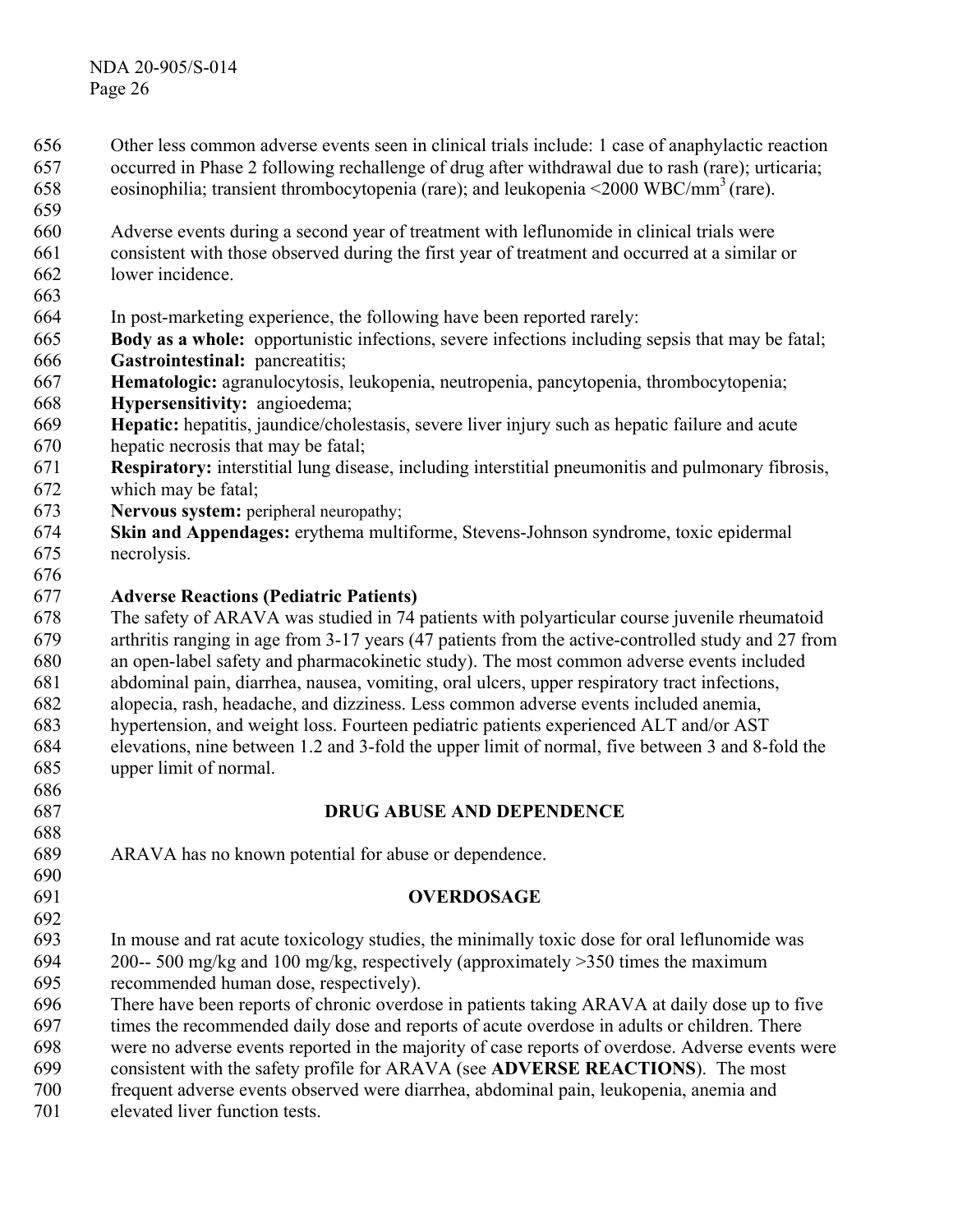- Other less common adverse events seen in clinical trials include: 1 case of anaphylactic reaction occurred in Phase 2 following rechallenge of drug after withdrawal due to rash (rare); urticaria; eosinophilia; transient thrombocytopenia (rare); and leukopenia  $\leq$ 2000 WBC/mm<sup>3</sup> (rare). 656 657 658 659 660 661 662 663 664 665 666 667 668 669 670 671 672 Adverse events during a second year of treatment with leflunomide in clinical trials were consistent with those observed during the first year of treatment and occurred at a similar or lower incidence. In post-marketing experience, the following have been reported rarely: **Body as a whole:** opportunistic infections, severe infections including sepsis that may be fatal; Gastrointestinal: pancreatitis; **Hematologic:** agranulocytosis, leukopenia, neutropenia, pancytopenia, thrombocytopenia; **Hypersensitivity:** angioedema; **Hepatic:** hepatitis, jaundice/cholestasis, severe liver injury such as hepatic failure and acute hepatic necrosis that may be fatal; **Respiratory:** interstitial lung disease, including interstitial pneumonitis and pulmonary fibrosis, which may be fatal;
- 673 **Nervous system:** peripheral neuropathy;
- 674 675 **Skin and Appendages:** erythema multiforme, Stevens-Johnson syndrome, toxic epidermal necrolysis.
- 676

#### 677 **Adverse Reactions (Pediatric Patients)**

678 679 680 681 The safety of ARAVA was studied in 74 patients with polyarticular course juvenile rheumatoid arthritis ranging in age from 3-17 years (47 patients from the active-controlled study and 27 from an open-label safety and pharmacokinetic study). The most common adverse events included abdominal pain, diarrhea, nausea, vomiting, oral ulcers, upper respiratory tract infections,

682 alopecia, rash, headache, and dizziness. Less common adverse events included anemia,

- 683 684 685 hypertension, and weight loss. Fourteen pediatric patients experienced ALT and/or AST elevations, nine between 1.2 and 3-fold the upper limit of normal, five between 3 and 8-fold the upper limit of normal.
- 686 687

688

690 691 692

# **DRUG ABUSE AND DEPENDENCE**

689 ARAVA has no known potential for abuse or dependence.

## **OVERDOSAGE**

693 694 695 In mouse and rat acute toxicology studies, the minimally toxic dose for oral leflunomide was 200-- 500 mg/kg and 100 mg/kg, respectively (approximately >350 times the maximum recommended human dose, respectively).

696 There have been reports of chronic overdose in patients taking ARAVA at daily dose up to five

697 times the recommended daily dose and reports of acute overdose in adults or children. There

698 were no adverse events reported in the majority of case reports of overdose. Adverse events were

699 consistent with the safety profile for ARAVA (see **ADVERSE REACTIONS**). The most

700 frequent adverse events observed were diarrhea, abdominal pain, leukopenia, anemia and

701 elevated liver function tests.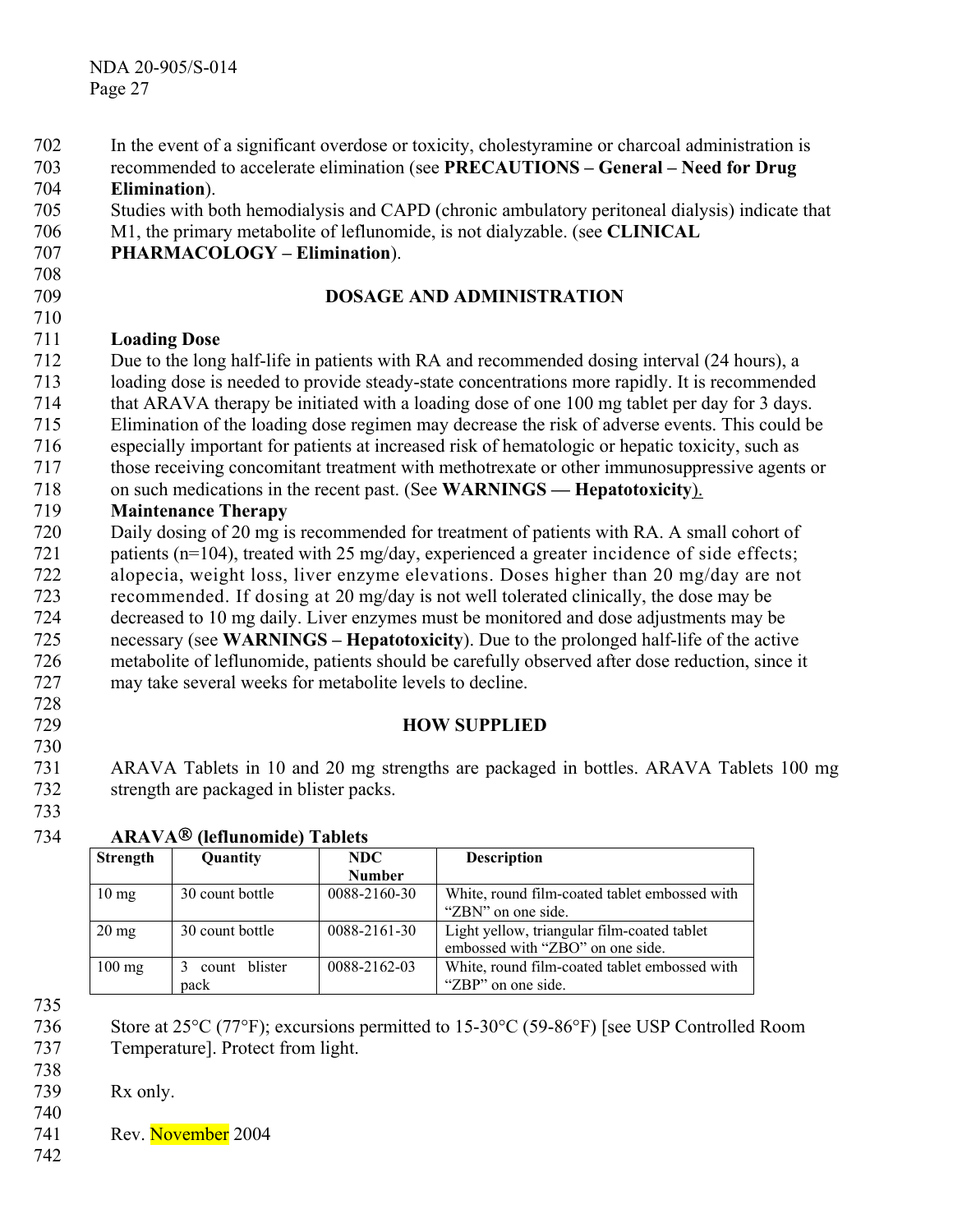| 702 | In the event of a significant overdose or toxicity, cholestyramine or charcoal administration is |
|-----|--------------------------------------------------------------------------------------------------|
| 703 | recommended to accelerate elimination (see PRECAUTIONS - General - Need for Drug                 |
| 704 | Elimination).                                                                                    |
| 705 | Studies with both hemodialysis and CAPD (chronic ambulatory peritoneal dialysis) indicate that   |
| 706 | M1, the primary metabolite of leflunomide, is not dialyzable. (see CLINICAL                      |
| 707 | <b>PHARMACOLOGY - Elimination).</b>                                                              |
| 708 |                                                                                                  |
| 709 | <b>DOSAGE AND ADMINISTRATION</b>                                                                 |
| 710 |                                                                                                  |
| 711 | <b>Loading Dose</b>                                                                              |
| 712 | Due to the long half-life in patients with RA and recommended dosing interval (24 hours), a      |
| 713 | loading dose is needed to provide steady-state concentrations more rapidly. It is recommended    |
| 714 | that ARAVA therapy be initiated with a loading dose of one 100 mg tablet per day for 3 days.     |
| 715 | Elimination of the loading dose regimen may decrease the risk of adverse events. This could be   |
| 716 | especially important for patients at increased risk of hematologic or hepatic toxicity, such as  |
| 717 | those receiving concomitant treatment with methotrexate or other immunosuppressive agents or     |
| 718 | on such medications in the recent past. (See WARNINGS — Hepatotoxicity).                         |
| 719 | <b>Maintenance Therapy</b>                                                                       |
| 720 | Daily dosing of 20 mg is recommended for treatment of patients with RA. A small cohort of        |
| 721 | patients (n=104), treated with 25 mg/day, experienced a greater incidence of side effects;       |
| 722 | alopecia, weight loss, liver enzyme elevations. Doses higher than 20 mg/day are not              |
| 723 | recommended. If dosing at 20 mg/day is not well tolerated clinically, the dose may be            |
| 724 | decreased to 10 mg daily. Liver enzymes must be monitored and dose adjustments may be            |
| 725 | necessary (see WARNINGS – Hepatotoxicity). Due to the prolonged half-life of the active          |
| 726 | metabolite of leflunomide, patients should be carefully observed after dose reduction, since it  |
| 727 | may take several weeks for metabolite levels to decline.                                         |
| 728 |                                                                                                  |
| 729 | <b>HOW SUPPLIED</b>                                                                              |
| 730 |                                                                                                  |
| 731 | ARAVA Tablets in 10 and 20 mg strengths are packaged in bottles. ARAVA Tablets 100 mg            |
| 732 | strength are packaged in blister packs.                                                          |

# **ARAVA (leflunomide) Tablets**

| <b>Strength</b> | Quantity        | NDC.               | <b>Description</b>                            |
|-----------------|-----------------|--------------------|-----------------------------------------------|
|                 |                 | <b>Number</b>      |                                               |
| $10 \text{ mg}$ | 30 count bottle | 0088-2160-30       | White, round film-coated tablet embossed with |
|                 |                 |                    | "ZBN" on one side.                            |
| $20 \text{ mg}$ | 30 count bottle | $0088 - 2161 - 30$ | Light yellow, triangular film-coated tablet   |
|                 |                 |                    | embossed with "ZBO" on one side.              |
| $100$ mg        | count blister   | 0088-2162-03       | White, round film-coated tablet embossed with |
|                 | pack            |                    | "ZBP" on one side.                            |

735

736 737 Store at 25°C (77°F); excursions permitted to 15-30°C (59-86°F) [see USP Controlled Room Temperature]. Protect from light.

738 739 Rx only.

740 Rev. November 2004

742